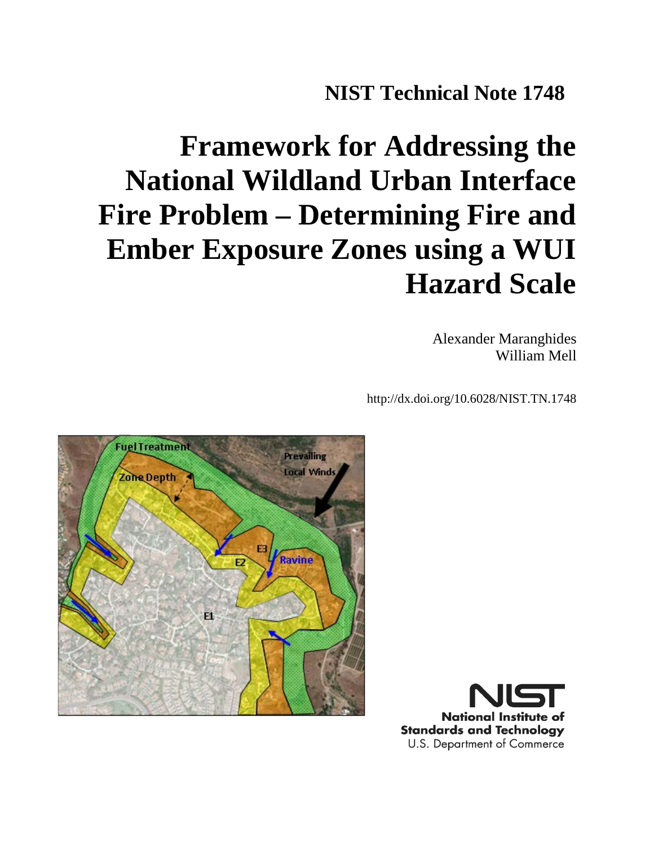# **NIST Technical Note 1748**

# **Framework for Addressing the National Wildland Urban Interface Fire Problem – Determining Fire and Ember Exposure Zones using a WUI Hazard Scale**

Alexander Maranghides William Mell

http://dx.doi.org/10.6028/NIST.TN.1748



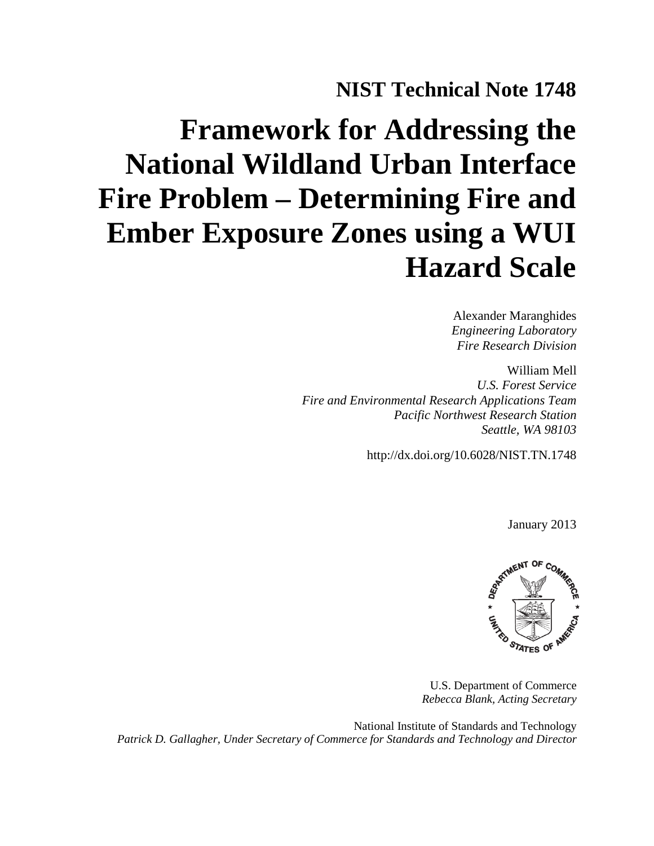# **NIST Technical Note 1748**

# **Framework for Addressing the National Wildland Urban Interface Fire Problem – Determining Fire and Ember Exposure Zones using a WUI Hazard Scale**

Alexander Maranghides *Engineering Laboratory Fire Research Division*

William Mell *U.S. Forest Service Fire and Environmental Research Applications Team Pacific Northwest Research Station Seattle, WA 98103*

http://dx.doi.org/10.6028/NIST.TN.1748

January 2013



U.S. Department of Commerce *Rebecca Blank, Acting Secretary*

National Institute of Standards and Technology *Patrick D. Gallagher, Under Secretary of Commerce for Standards and Technology and Director*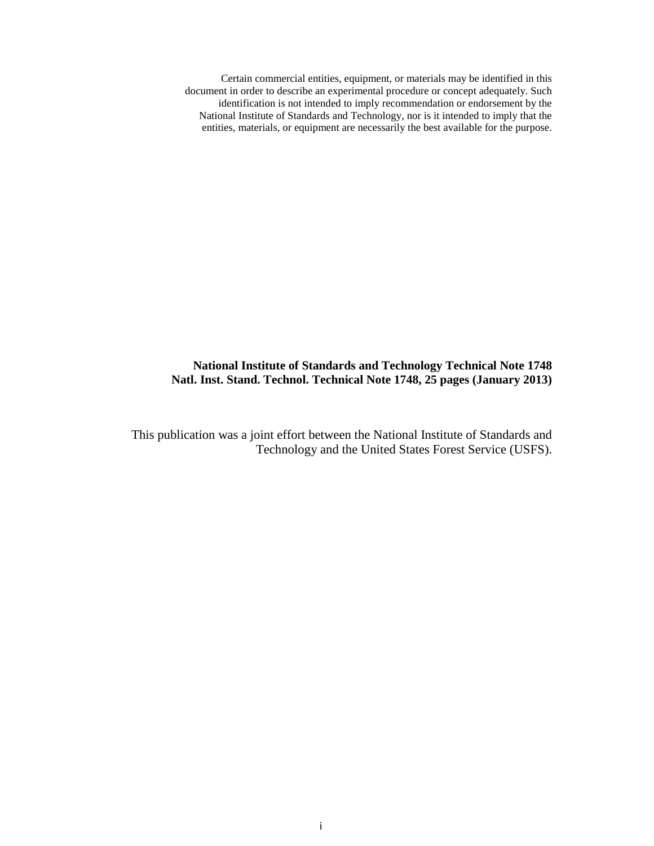Certain commercial entities, equipment, or materials may be identified in this document in order to describe an experimental procedure or concept adequately. Such identification is not intended to imply recommendation or endorsement by the National Institute of Standards and Technology, nor is it intended to imply that the entities, materials, or equipment are necessarily the best available for the purpose.

#### **National Institute of Standards and Technology Technical Note 1748 Natl. Inst. Stand. Technol. Technical Note 1748, 25 pages (January 2013)**

This publication was a joint effort between the National Institute of Standards and Technology and the United States Forest Service (USFS).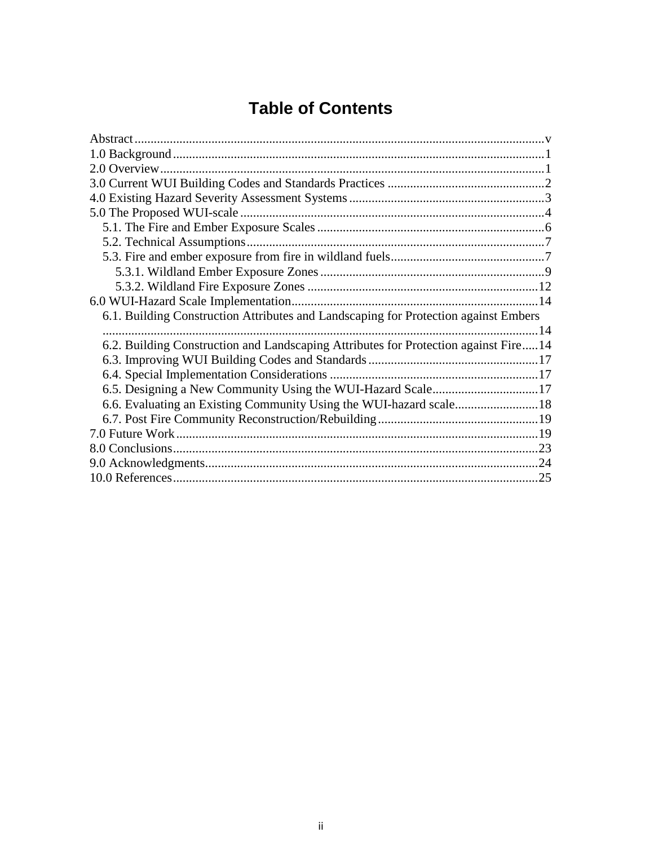# **Table of Contents**

| 6.1. Building Construction Attributes and Landscaping for Protection against Embers |  |
|-------------------------------------------------------------------------------------|--|
|                                                                                     |  |
| 6.2. Building Construction and Landscaping Attributes for Protection against Fire14 |  |
|                                                                                     |  |
|                                                                                     |  |
| 6.5. Designing a New Community Using the WUI-Hazard Scale17                         |  |
|                                                                                     |  |
|                                                                                     |  |
|                                                                                     |  |
|                                                                                     |  |
|                                                                                     |  |
|                                                                                     |  |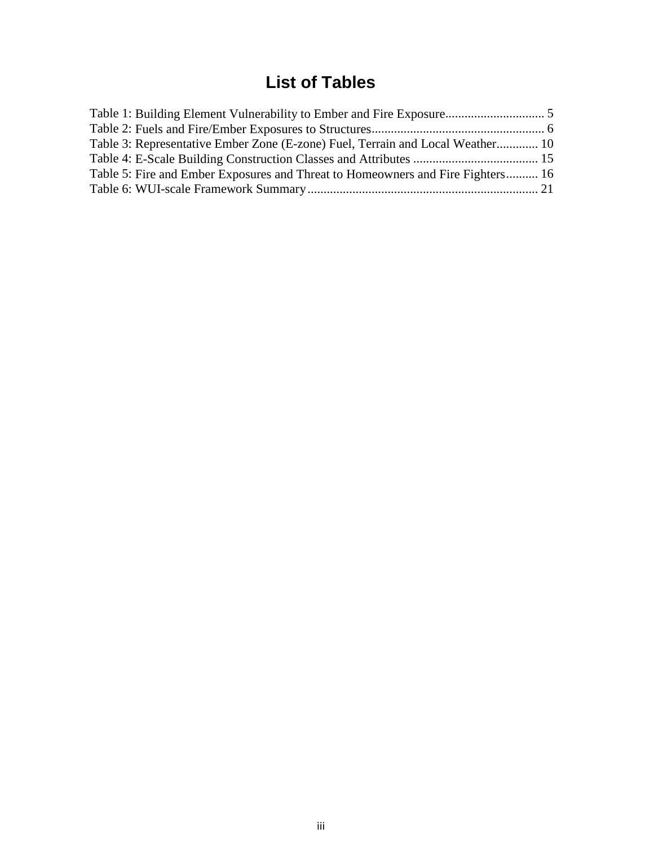# **List of Tables**

| Table 3: Representative Ember Zone (E-zone) Fuel, Terrain and Local Weather 10  |  |
|---------------------------------------------------------------------------------|--|
|                                                                                 |  |
| Table 5: Fire and Ember Exposures and Threat to Homeowners and Fire Fighters 16 |  |
|                                                                                 |  |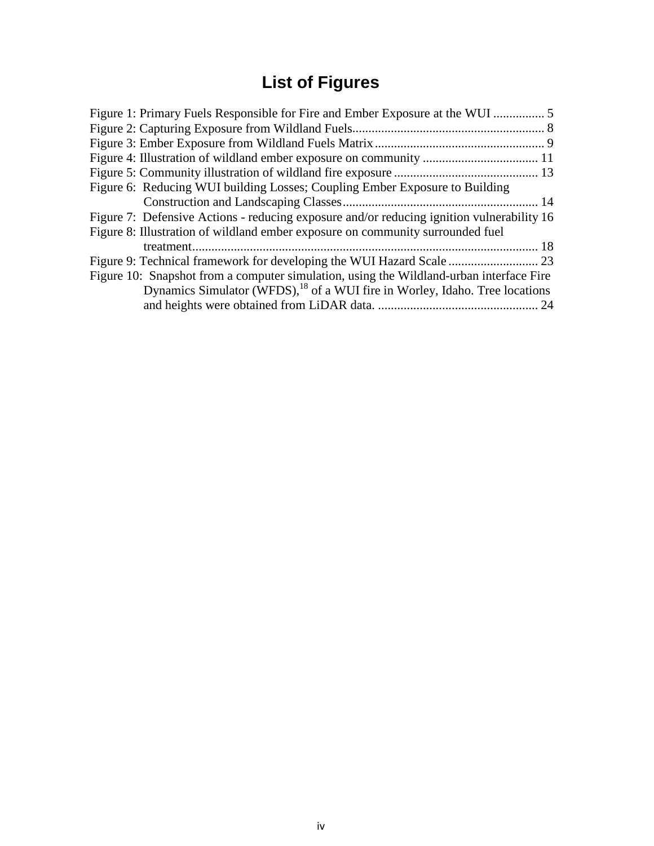# **List of Figures**

| Figure 6: Reducing WUI building Losses; Coupling Ember Exposure to Building               |  |
|-------------------------------------------------------------------------------------------|--|
|                                                                                           |  |
| Figure 7: Defensive Actions - reducing exposure and/or reducing ignition vulnerability 16 |  |
| Figure 8: Illustration of wildland ember exposure on community surrounded fuel            |  |
|                                                                                           |  |
|                                                                                           |  |
| Figure 10: Snapshot from a computer simulation, using the Wildland-urban interface Fire   |  |
| Dynamics Simulator (WFDS), <sup>18</sup> of a WUI fire in Worley, Idaho. Tree locations   |  |
|                                                                                           |  |
|                                                                                           |  |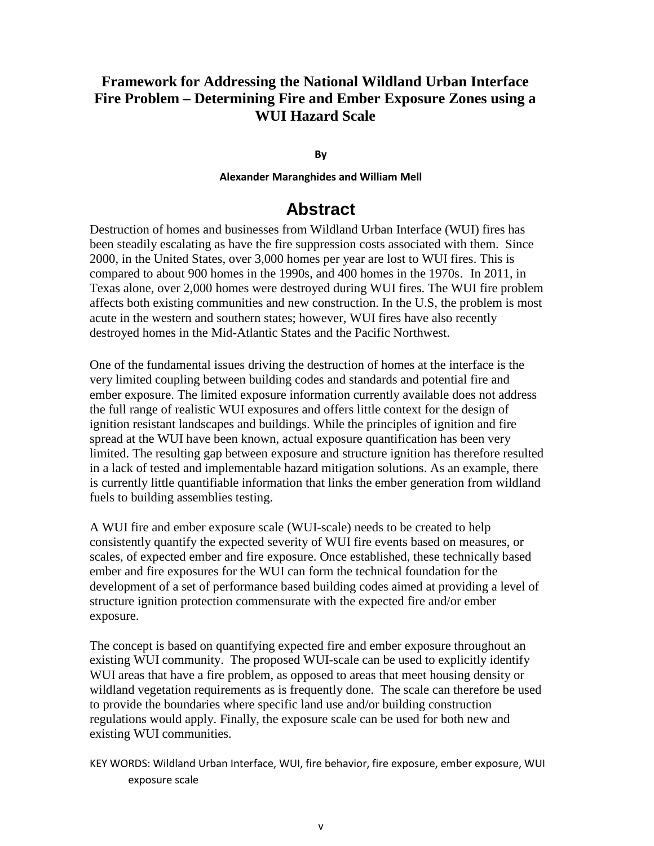#### **Framework for Addressing the National Wildland Urban Interface Fire Problem – Determining Fire and Ember Exposure Zones using a WUI Hazard Scale**

**By**

**Alexander Maranghides and William Mell**

#### **Abstract**

<span id="page-6-0"></span>Destruction of homes and businesses from Wildland Urban Interface (WUI) fires has been steadily escalating as have the fire suppression costs associated with them. Since 2000, in the United States, over 3,000 homes per year are lost to WUI fires. This is compared to about 900 homes in the 1990s, and 400 homes in the 1970s. In 2011, in Texas alone, over 2,000 homes were destroyed during WUI fires. The WUI fire problem affects both existing communities and new construction. In the U.S, the problem is most acute in the western and southern states; however, WUI fires have also recently destroyed homes in the Mid-Atlantic States and the Pacific Northwest.

One of the fundamental issues driving the destruction of homes at the interface is the very limited coupling between building codes and standards and potential fire and ember exposure. The limited exposure information currently available does not address the full range of realistic WUI exposures and offers little context for the design of ignition resistant landscapes and buildings. While the principles of ignition and fire spread at the WUI have been known, actual exposure quantification has been very limited. The resulting gap between exposure and structure ignition has therefore resulted in a lack of tested and implementable hazard mitigation solutions. As an example, there is currently little quantifiable information that links the ember generation from wildland fuels to building assemblies testing.

A WUI fire and ember exposure scale (WUI-scale) needs to be created to help consistently quantify the expected severity of WUI fire events based on measures, or scales, of expected ember and fire exposure. Once established, these technically based ember and fire exposures for the WUI can form the technical foundation for the development of a set of performance based building codes aimed at providing a level of structure ignition protection commensurate with the expected fire and/or ember exposure.

The concept is based on quantifying expected fire and ember exposure throughout an existing WUI community. The proposed WUI-scale can be used to explicitly identify WUI areas that have a fire problem, as opposed to areas that meet housing density or wildland vegetation requirements as is frequently done. The scale can therefore be used to provide the boundaries where specific land use and/or building construction regulations would apply. Finally, the exposure scale can be used for both new and existing WUI communities.

KEY WORDS: Wildland Urban Interface, WUI, fire behavior, fire exposure, ember exposure, WUI exposure scale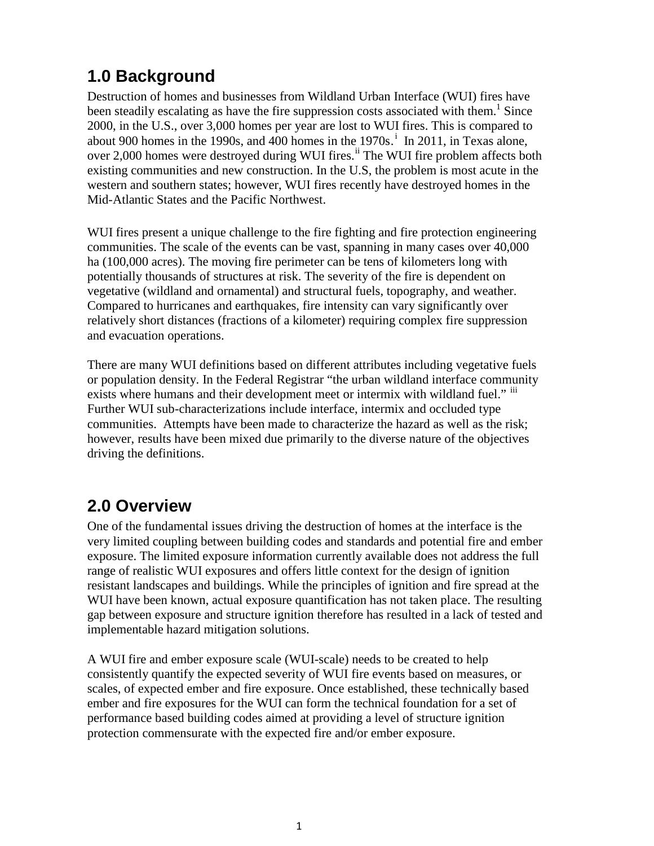# <span id="page-7-0"></span>**1.0 Background**

Destruction of homes and businesses from Wildland Urban Interface (WUI) fires have been steadily escalating as have the fire suppression costs associated with them.<sup>1</sup> Since 2000, in the U.S., over 3,000 homes per year are lost to WUI fires. This is compared to about 900 homes [i](#page-32-0)n the 1990s, and  $\overline{400}$  homes in the 1970s.<sup>i</sup> In 2011, in Texas alone, over 2,000 homes were destroyed during WUI fires. If The WUI fire problem affects both existing communities and new construction. In the U.S, the problem is most acute in the western and southern states; however, WUI fires recently have destroyed homes in the Mid-Atlantic States and the Pacific Northwest.

WUI fires present a unique challenge to the fire fighting and fire protection engineering communities. The scale of the events can be vast, spanning in many cases over 40,000 ha (100,000 acres). The moving fire perimeter can be tens of kilometers long with potentially thousands of structures at risk. The severity of the fire is dependent on vegetative (wildland and ornamental) and structural fuels, topography, and weather. Compared to hurricanes and earthquakes, fire intensity can vary significantly over relatively short distances (fractions of a kilometer) requiring complex fire suppression and evacuation operations.

There are many WUI definitions based on different attributes including vegetative fuels or population density. In the Federal Registrar "the urban wildland interface community exists where humans and their development meet or intermix with wildland fuel." [iii](#page-32-2) Further WUI sub-characterizations include interface, intermix and occluded type communities. Attempts have been made to characterize the hazard as well as the risk; however, results have been mixed due primarily to the diverse nature of the objectives driving the definitions.

# <span id="page-7-1"></span>**2.0 Overview**

One of the fundamental issues driving the destruction of homes at the interface is the very limited coupling between building codes and standards and potential fire and ember exposure. The limited exposure information currently available does not address the full range of realistic WUI exposures and offers little context for the design of ignition resistant landscapes and buildings. While the principles of ignition and fire spread at the WUI have been known, actual exposure quantification has not taken place. The resulting gap between exposure and structure ignition therefore has resulted in a lack of tested and implementable hazard mitigation solutions.

A WUI fire and ember exposure scale (WUI-scale) needs to be created to help consistently quantify the expected severity of WUI fire events based on measures, or scales, of expected ember and fire exposure. Once established, these technically based ember and fire exposures for the WUI can form the technical foundation for a set of performance based building codes aimed at providing a level of structure ignition protection commensurate with the expected fire and/or ember exposure.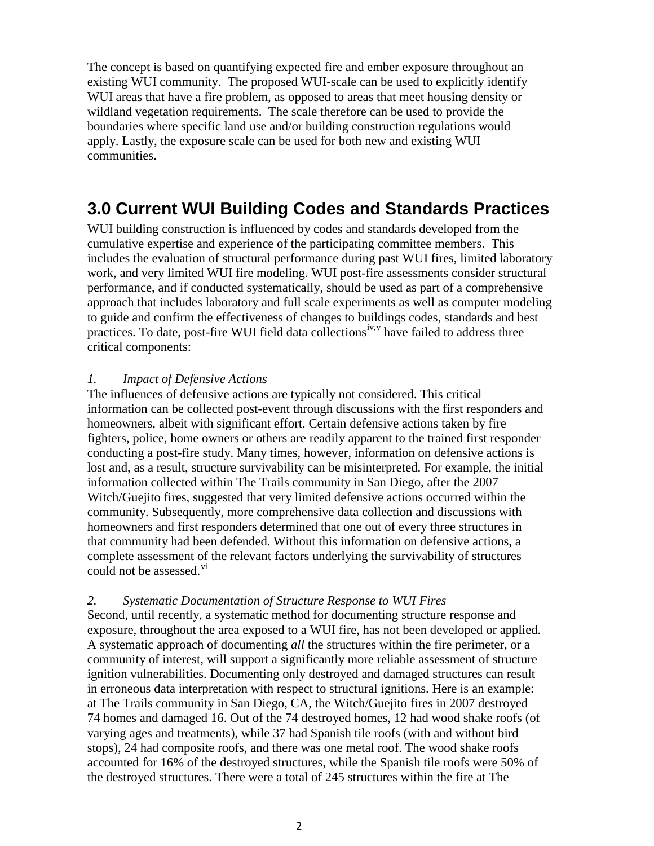The concept is based on quantifying expected fire and ember exposure throughout an existing WUI community. The proposed WUI-scale can be used to explicitly identify WUI areas that have a fire problem, as opposed to areas that meet housing density or wildland vegetation requirements. The scale therefore can be used to provide the boundaries where specific land use and/or building construction regulations would apply. Lastly, the exposure scale can be used for both new and existing WUI communities.

# <span id="page-8-0"></span>**3.0 Current WUI Building Codes and Standards Practices**

WUI building construction is influenced by codes and standards developed from the cumulative expertise and experience of the participating committee members. This includes the evaluation of structural performance during past WUI fires, limited laboratory work, and very limited WUI fire modeling. WUI post-fire assessments consider structural performance, and if conducted systematically, should be used as part of a comprehensive approach that includes laboratory and full scale experiments as well as computer modeling to guide and confirm the effectiveness of changes to buildings codes, standards and best practices. To date, post-fire WUI field data collections<sup>[iv](#page-32-3), [v](#page-32-4)</sup> have failed to address three critical components:

#### *1. Impact of Defensive Actions*

The influences of defensive actions are typically not considered. This critical information can be collected post-event through discussions with the first responders and homeowners, albeit with significant effort. Certain defensive actions taken by fire fighters, police, home owners or others are readily apparent to the trained first responder conducting a post-fire study. Many times, however, information on defensive actions is lost and, as a result, structure survivability can be misinterpreted. For example, the initial information collected within The Trails community in San Diego, after the 2007 Witch/Guejito fires, suggested that very limited defensive actions occurred within the community. Subsequently, more comprehensive data collection and discussions with homeowners and first responders determined that one out of every three structures in that community had been defended. Without this information on defensive actions, a complete assessment of the relevant factors underlying the survivability of structures could not be assessed.<sup>[vi](#page-32-5)</sup>

#### <span id="page-8-1"></span>*2. Systematic Documentation of Structure Response to WUI Fires*

Second, until recently, a systematic method for documenting structure response and exposure, throughout the area exposed to a WUI fire, has not been developed or applied. A systematic approach of documenting *all* the structures within the fire perimeter, or a community of interest, will support a significantly more reliable assessment of structure ignition vulnerabilities. Documenting only destroyed and damaged structures can result in erroneous data interpretation with respect to structural ignitions. Here is an example: at The Trails community in San Diego, CA, the Witch/Guejito fires in 2007 destroyed 74 homes and damaged 16. Out of the 74 destroyed homes, 12 had wood shake roofs (of varying ages and treatments), while 37 had Spanish tile roofs (with and without bird stops), 24 had composite roofs, and there was one metal roof. The wood shake roofs accounted for 16% of the destroyed structures, while the Spanish tile roofs were 50% of the destroyed structures. There were a total of 245 structures within the fire at The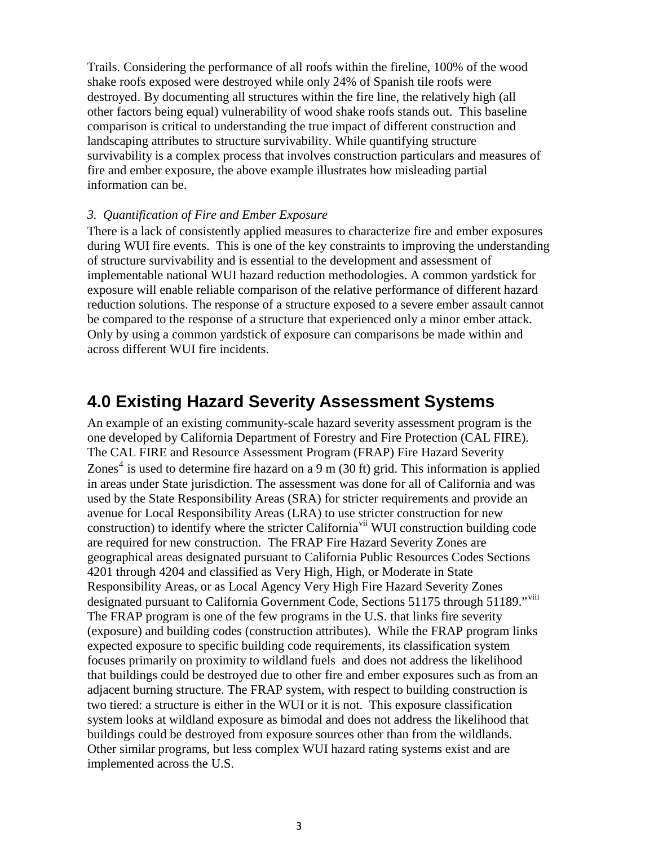Trails. Considering the performance of all roofs within the fireline, 100% of the wood shake roofs exposed were destroyed while only 24% of Spanish tile roofs were destroyed. By documenting all structures within the fire line, the relatively high (all other factors being equal) vulnerability of wood shake roofs stands out. This baseline comparison is critical to understanding the true impact of different construction and landscaping attributes to structure survivability. While quantifying structure survivability is a complex process that involves construction particulars and measures of fire and ember exposure, the above example illustrates how misleading partial information can be.

#### *3. Quantification of Fire and Ember Exposure*

There is a lack of consistently applied measures to characterize fire and ember exposures during WUI fire events. This is one of the key constraints to improving the understanding of structure survivability and is essential to the development and assessment of implementable national WUI hazard reduction methodologies. A common yardstick for exposure will enable reliable comparison of the relative performance of different hazard reduction solutions. The response of a structure exposed to a severe ember assault cannot be compared to the response of a structure that experienced only a minor ember attack. Only by using a common yardstick of exposure can comparisons be made within and across different WUI fire incidents.

#### <span id="page-9-0"></span>**4.0 Existing Hazard Severity Assessment Systems**

An example of an existing community-scale hazard severity assessment program is the one developed by California Department of Forestry and Fire Protection (CAL FIRE). The CAL FIRE and Resource Assessment Program (FRAP) Fire Hazard Severity Zones<sup>4</sup> is used to determine fire hazard on a 9 m (30 ft) grid. This information is applied in areas under State jurisdiction. The assessment was done for all of California and was used by the State Responsibility Areas (SRA) for stricter requirements and provide an avenue for Local Responsibility Areas (LRA) to use stricter construction for new construction) to identify where the stricter California<sup>[vii](#page-32-6)</sup> WUI construction building code are required for new construction. The FRAP Fire Hazard Severity Zones are geographical areas designated pursuant to California Public Resources Codes Sections 4201 through 4204 and classified as Very High, High, or Moderate in State Responsibility Areas, or as Local Agency Very High Fire Hazard Severity Zones designated pursuant to California Government Code, Sections 51175 through 51189."[viii](#page-32-7) The FRAP program is one of the few programs in the U.S. that links fire severity (exposure) and building codes (construction attributes). While the FRAP program links expected exposure to specific building code requirements, its classification system focuses primarily on proximity to wildland fuels and does not address the likelihood that buildings could be destroyed due to other fire and ember exposures such as from an adjacent burning structure. The FRAP system, with respect to building construction is two tiered: a structure is either in the WUI or it is not. This exposure classification system looks at wildland exposure as bimodal and does not address the likelihood that buildings could be destroyed from exposure sources other than from the wildlands. Other similar programs, but less complex WUI hazard rating systems exist and are implemented across the U.S.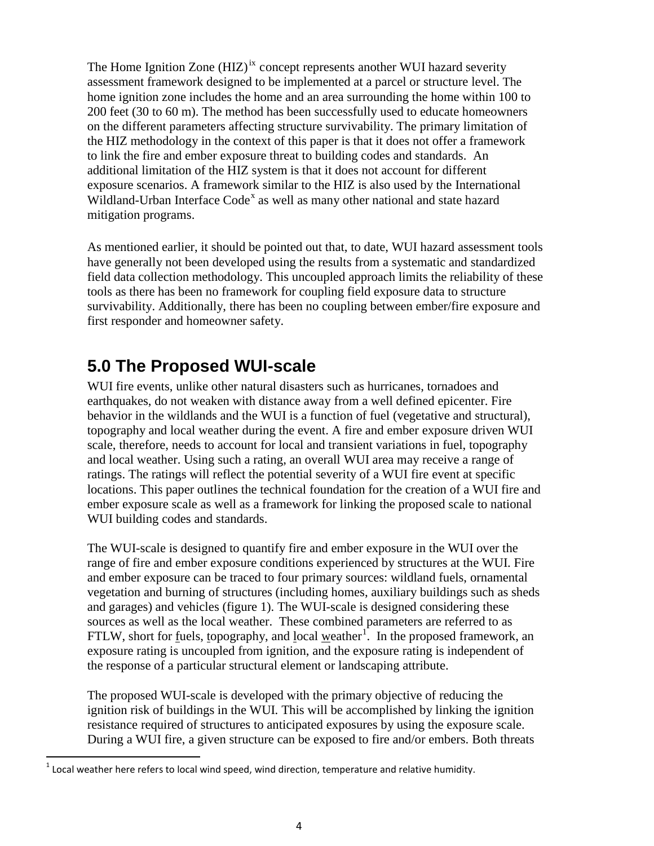The Home Ignition Zone (HIZ)<sup>[ix](#page-32-8)</sup> concept represents another WUI hazard severity assessment framework designed to be implemented at a parcel or structure level. The home ignition zone includes the home and an area surrounding the home within 100 to 200 feet (30 to 60 m). The method has been successfully used to educate homeowners on the different parameters affecting structure survivability. The primary limitation of the HIZ methodology in the context of this paper is that it does not offer a framework to link the fire and ember exposure threat to building codes and standards. An additional limitation of the HIZ system is that it does not account for different exposure scenarios. A framework similar to the HIZ is also used by the International Wildland-Urban Interface  $Code<sup>x</sup>$  $Code<sup>x</sup>$  $Code<sup>x</sup>$  as well as many other national and state hazard mitigation programs.

As mentioned earlier, it should be pointed out that, to date, WUI hazard assessment tools have generally not been developed using the results from a systematic and standardized field data collection methodology. This uncoupled approach limits the reliability of these tools as there has been no framework for coupling field exposure data to structure survivability. Additionally, there has been no coupling between ember/fire exposure and first responder and homeowner safety.

# <span id="page-10-0"></span>**5.0 The Proposed WUI-scale**

WUI fire events, unlike other natural disasters such as hurricanes, tornadoes and earthquakes, do not weaken with distance away from a well defined epicenter. Fire behavior in the wildlands and the WUI is a function of fuel (vegetative and structural), topography and local weather during the event. A fire and ember exposure driven WUI scale, therefore, needs to account for local and transient variations in fuel, topography and local weather. Using such a rating, an overall WUI area may receive a range of ratings. The ratings will reflect the potential severity of a WUI fire event at specific locations. This paper outlines the technical foundation for the creation of a WUI fire and ember exposure scale as well as a framework for linking the proposed scale to national WUI building codes and standards.

The WUI-scale is designed to quantify fire and ember exposure in the WUI over the range of fire and ember exposure conditions experienced by structures at the WUI. Fire and ember exposure can be traced to four primary sources: wildland fuels, ornamental vegetation and burning of structures (including homes, auxiliary buildings such as sheds and garages) and vehicles (figure 1). The WUI-scale is designed considering these sources as well as the local weather. These combined parameters are referred to as FTLW, short for <u>f</u>uels, topography, and local weather<sup>[1](#page-10-1)</sup>. In the proposed framework, an exposure rating is uncoupled from ignition, and the exposure rating is independent of the response of a particular structural element or landscaping attribute.

The proposed WUI-scale is developed with the primary objective of reducing the ignition risk of buildings in the WUI. This will be accomplished by linking the ignition resistance required of structures to anticipated exposures by using the exposure scale. During a WUI fire, a given structure can be exposed to fire and/or embers. Both threats

<span id="page-10-1"></span> $1$  Local weather here refers to local wind speed, wind direction, temperature and relative humidity.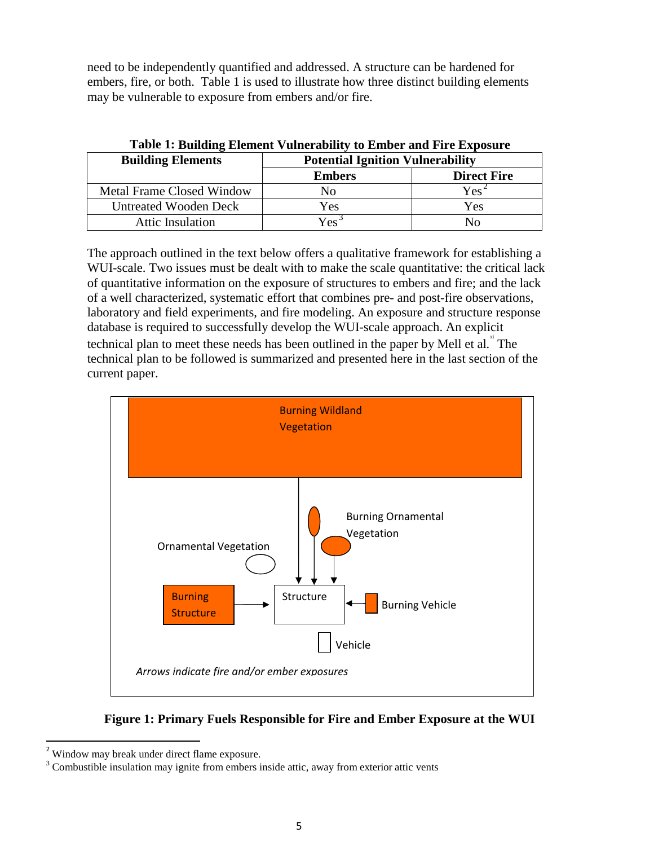need to be independently quantified and addressed. A structure can be hardened for embers, fire, or both. Table 1 is used to illustrate how three distinct building elements may be vulnerable to exposure from embers and/or fire.

<span id="page-11-0"></span>

| <b>Building Elements</b>         | <b>Potential Ignition Vulnerability</b> |                    |
|----------------------------------|-----------------------------------------|--------------------|
|                                  | <b>Embers</b>                           | <b>Direct Fire</b> |
| <b>Metal Frame Closed Window</b> | NΩ                                      | $Yes^2$            |
| <b>Untreated Wooden Deck</b>     | Yes                                     | Yes                |
| <b>Attic Insulation</b>          | $Yes^{\prime}$                          |                    |

**Table 1: Building Element Vulnerability to Ember and Fire Exposure**

The approach outlined in the text below offers a qualitative framework for establishing a WUI-scale. Two issues must be dealt with to make the scale quantitative: the critical lack of quantitative information on the exposure of structures to embers and fire; and the lack of a well characterized, systematic effort that combines pre- and post-fire observations, laboratory and field experiments, and fire modeling. An exposure and structure response database is required to successfully develop the WUI-scale approach. An explicit technical plan to meet these needs has been outlined in the paper by Mell et al.<sup>\*</sup> The technical plan to be followed is summarized and presented here in the last section of the current paper.



#### **Figure 1: Primary Fuels Responsible for Fire and Ember Exposure at the WUI**

<span id="page-11-1"></span> $\frac{1}{2}$ 

<span id="page-11-3"></span><span id="page-11-2"></span> $3 \text{ V}$  Window may break under direct flame exposure.<br> $3 \text{ C}$  Combustible insulation may ignite from embers inside attic, away from exterior attic vents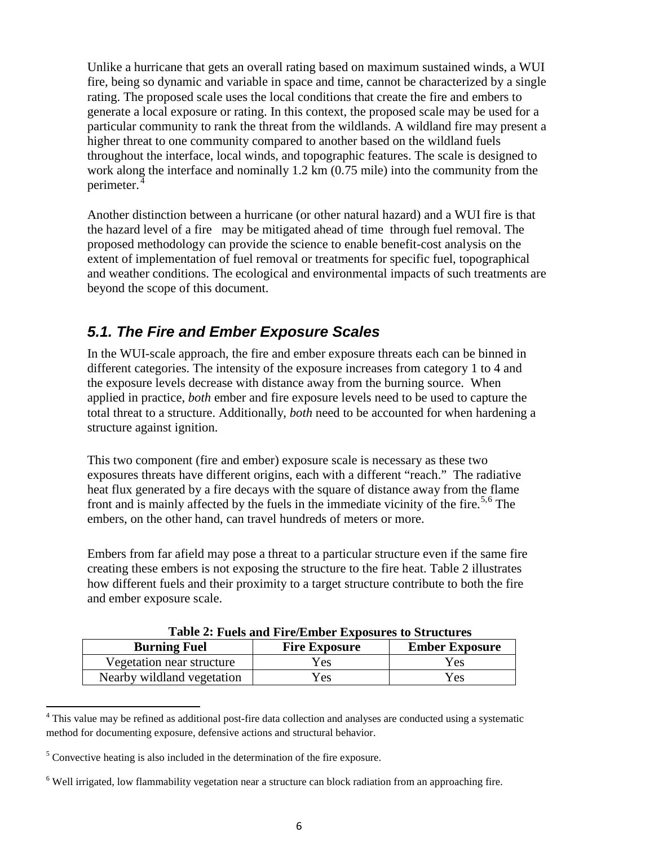Unlike a hurricane that gets an overall rating based on maximum sustained winds, a WUI fire, being so dynamic and variable in space and time, cannot be characterized by a single rating. The proposed scale uses the local conditions that create the fire and embers to generate a local exposure or rating. In this context, the proposed scale may be used for a particular community to rank the threat from the wildlands. A wildland fire may present a higher threat to one community compared to another based on the wildland fuels throughout the interface, local winds, and topographic features. The scale is designed to work along the interface and nominally 1.2 km (0.75 mile) into the community from the perimeter.<sup>[4](#page-12-2)</sup>

Another distinction between a hurricane (or other natural hazard) and a WUI fire is that the hazard level of a fire may be mitigated ahead of time through fuel removal. The proposed methodology can provide the science to enable benefit-cost analysis on the extent of implementation of fuel removal or treatments for specific fuel, topographical and weather conditions. The ecological and environmental impacts of such treatments are beyond the scope of this document.

#### <span id="page-12-0"></span>*5.1. The Fire and Ember Exposure Scales*

In the WUI-scale approach, the fire and ember exposure threats each can be binned in different categories. The intensity of the exposure increases from category 1 to 4 and the exposure levels decrease with distance away from the burning source. When applied in practice, *both* ember and fire exposure levels need to be used to capture the total threat to a structure. Additionally, *both* need to be accounted for when hardening a structure against ignition.

This two component (fire and ember) exposure scale is necessary as these two exposures threats have different origins, each with a different "reach." The radiative heat flux generated by a fire decays with the square of distance away from the flame front and is mainly affected by the fuels in the immediate vicinity of the fire.<sup>[5](#page-12-3),[6](#page-12-4)</sup> The embers, on the other hand, can travel hundreds of meters or more.

Embers from far afield may pose a threat to a particular structure even if the same fire creating these embers is not exposing the structure to the fire heat. Table 2 illustrates how different fuels and their proximity to a target structure contribute to both the fire and ember exposure scale.

<span id="page-12-1"></span>

| <b>Table 2. Fuels and Fire/Ember Exposures to Structures</b> |                      |                       |  |  |  |
|--------------------------------------------------------------|----------------------|-----------------------|--|--|--|
| <b>Burning Fuel</b>                                          | <b>Fire Exposure</b> | <b>Ember Exposure</b> |  |  |  |
| Vegetation near structure                                    | Yes                  | Yes                   |  |  |  |
| Nearby wildland vegetation                                   | Yes                  | Yes                   |  |  |  |

**Table 2: Fuels and Fire/Ember Exposures to Structures** 

 $\overline{\phantom{a}}$ 

<span id="page-12-2"></span><sup>&</sup>lt;sup>4</sup> This value may be refined as additional post-fire data collection and analyses are conducted using a systematic method for documenting exposure, defensive actions and structural behavior.

<span id="page-12-3"></span><sup>&</sup>lt;sup>5</sup> Convective heating is also included in the determination of the fire exposure.

<span id="page-12-4"></span><sup>&</sup>lt;sup>6</sup> Well irrigated, low flammability vegetation near a structure can block radiation from an approaching fire.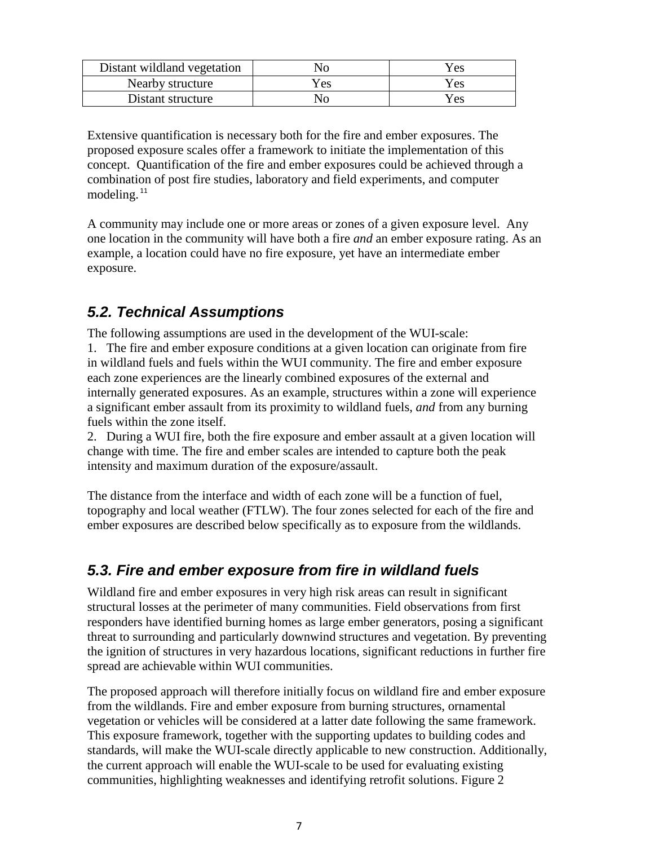| Distant wildland vegetation | No  | Yes |
|-----------------------------|-----|-----|
| Nearby structure            | Yes | Yes |
| Distant structure           | Nο  | Yes |

Extensive quantification is necessary both for the fire and ember exposures. The proposed exposure scales offer a framework to initiate the implementation of this concept. Quantification of the fire and ember exposures could be achieved through a combination of post fire studies, laboratory and field experiments, and computer modeling. $^{11}$ 

A community may include one or more areas or zones of a given exposure level. Any one location in the community will have both a fire *and* an ember exposure rating. As an example, a location could have no fire exposure, yet have an intermediate ember exposure.

#### <span id="page-13-0"></span>*5.2. Technical Assumptions*

The following assumptions are used in the development of the WUI-scale: 1. The fire and ember exposure conditions at a given location can originate from fire in wildland fuels and fuels within the WUI community. The fire and ember exposure each zone experiences are the linearly combined exposures of the external and internally generated exposures. As an example, structures within a zone will experience a significant ember assault from its proximity to wildland fuels, *and* from any burning fuels within the zone itself.

2. During a WUI fire, both the fire exposure and ember assault at a given location will change with time. The fire and ember scales are intended to capture both the peak intensity and maximum duration of the exposure/assault.

The distance from the interface and width of each zone will be a function of fuel, topography and local weather (FTLW). The four zones selected for each of the fire and ember exposures are described below specifically as to exposure from the wildlands.

#### <span id="page-13-1"></span>*5.3. Fire and ember exposure from fire in wildland fuels*

Wildland fire and ember exposures in very high risk areas can result in significant structural losses at the perimeter of many communities. Field observations from first responders have identified burning homes as large ember generators, posing a significant threat to surrounding and particularly downwind structures and vegetation. By preventing the ignition of structures in very hazardous locations, significant reductions in further fire spread are achievable within WUI communities.

The proposed approach will therefore initially focus on wildland fire and ember exposure from the wildlands. Fire and ember exposure from burning structures, ornamental vegetation or vehicles will be considered at a latter date following the same framework. This exposure framework, together with the supporting updates to building codes and standards, will make the WUI-scale directly applicable to new construction. Additionally, the current approach will enable the WUI-scale to be used for evaluating existing communities, highlighting weaknesses and identifying retrofit solutions. Figure 2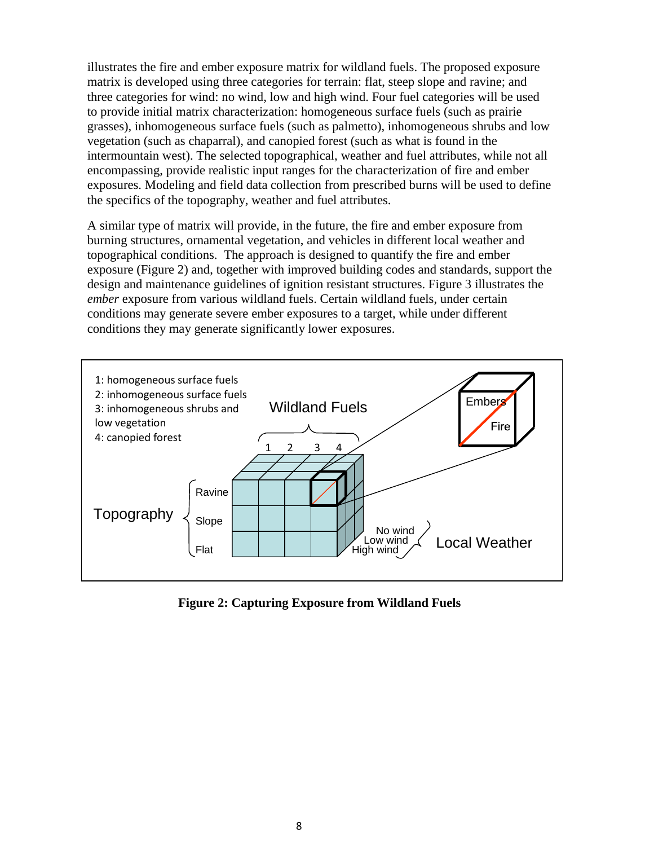illustrates the fire and ember exposure matrix for wildland fuels. The proposed exposure matrix is developed using three categories for terrain: flat, steep slope and ravine; and three categories for wind: no wind, low and high wind. Four fuel categories will be used to provide initial matrix characterization: homogeneous surface fuels (such as prairie grasses), inhomogeneous surface fuels (such as palmetto), inhomogeneous shrubs and low vegetation (such as chaparral), and canopied forest (such as what is found in the intermountain west). The selected topographical, weather and fuel attributes, while not all encompassing, provide realistic input ranges for the characterization of fire and ember exposures. Modeling and field data collection from prescribed burns will be used to define the specifics of the topography, weather and fuel attributes.

A similar type of matrix will provide, in the future, the fire and ember exposure from burning structures, ornamental vegetation, and vehicles in different local weather and topographical conditions. The approach is designed to quantify the fire and ember exposure (Figure 2) and, together with improved building codes and standards, support the design and maintenance guidelines of ignition resistant structures. Figure 3 illustrates the *ember* exposure from various wildland fuels. Certain wildland fuels, under certain conditions may generate severe ember exposures to a target, while under different conditions they may generate significantly lower exposures.



<span id="page-14-0"></span>**Figure 2: Capturing Exposure from Wildland Fuels**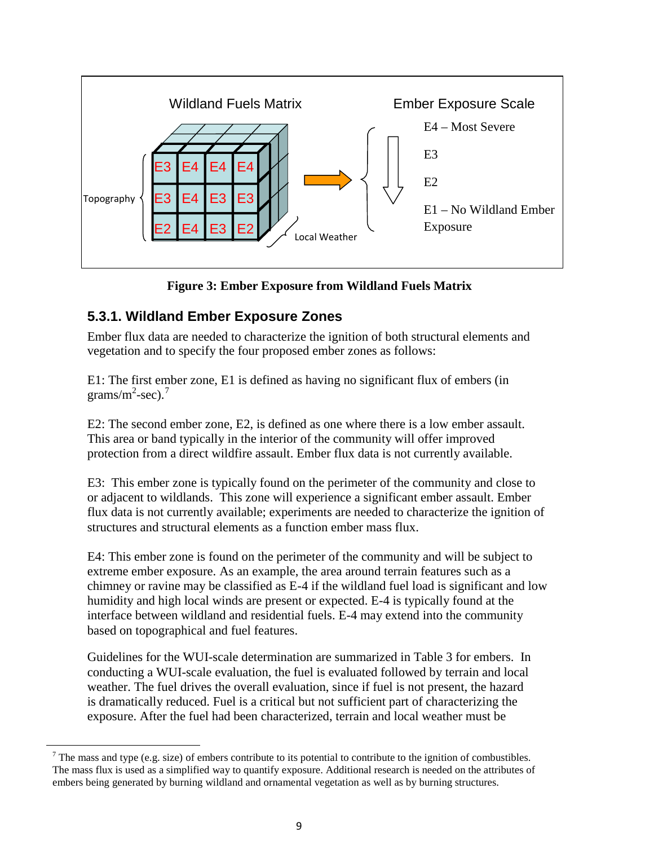

#### **Figure 3: Ember Exposure from Wildland Fuels Matrix**

#### <span id="page-15-1"></span><span id="page-15-0"></span>**5.3.1. Wildland Ember Exposure Zones**

Ember flux data are needed to characterize the ignition of both structural elements and vegetation and to specify the four proposed ember zones as follows:

E1: The first ember zone, E1 is defined as having no significant flux of embers (in grams/m<sup>2</sup>-sec).<sup>[7](#page-15-2)</sup>

E2: The second ember zone, E2, is defined as one where there is a low ember assault. This area or band typically in the interior of the community will offer improved protection from a direct wildfire assault. Ember flux data is not currently available.

E3: This ember zone is typically found on the perimeter of the community and close to or adjacent to wildlands. This zone will experience a significant ember assault. Ember flux data is not currently available; experiments are needed to characterize the ignition of structures and structural elements as a function ember mass flux.

E4: This ember zone is found on the perimeter of the community and will be subject to extreme ember exposure. As an example, the area around terrain features such as a chimney or ravine may be classified as E-4 if the wildland fuel load is significant and low humidity and high local winds are present or expected. E-4 is typically found at the interface between wildland and residential fuels. E-4 may extend into the community based on topographical and fuel features.

Guidelines for the WUI-scale determination are summarized in Table 3 for embers. In conducting a WUI-scale evaluation, the fuel is evaluated followed by terrain and local weather. The fuel drives the overall evaluation, since if fuel is not present, the hazard is dramatically reduced. Fuel is a critical but not sufficient part of characterizing the exposure. After the fuel had been characterized, terrain and local weather must be

<span id="page-15-2"></span> $\overline{\phantom{a}}$ 

 $<sup>7</sup>$  The mass and type (e.g. size) of embers contribute to its potential to contribute to the ignition of combustibles.</sup> The mass flux is used as a simplified way to quantify exposure. Additional research is needed on the attributes of embers being generated by burning wildland and ornamental vegetation as well as by burning structures.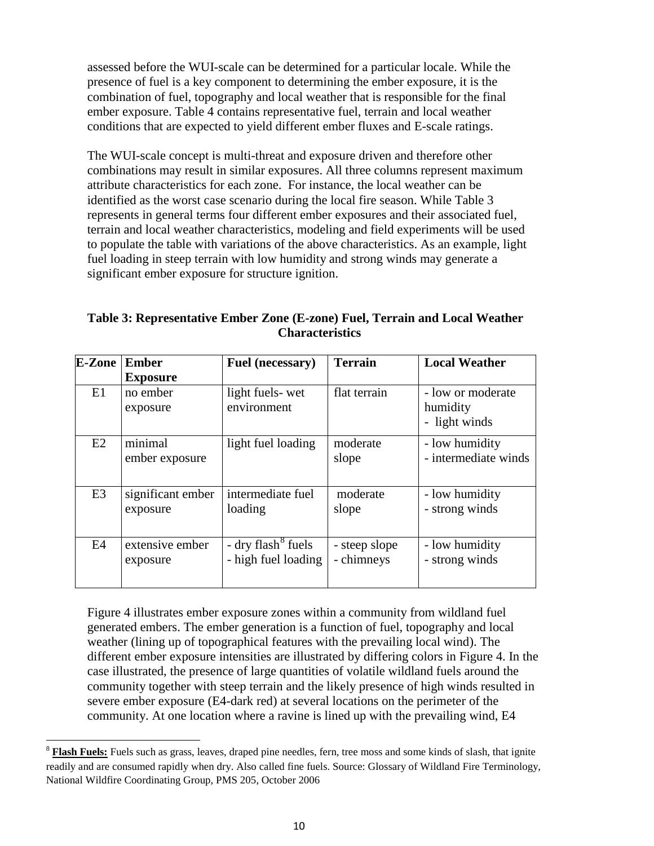assessed before the WUI-scale can be determined for a particular locale. While the presence of fuel is a key component to determining the ember exposure, it is the combination of fuel, topography and local weather that is responsible for the final ember exposure. Table 4 contains representative fuel, terrain and local weather conditions that are expected to yield different ember fluxes and E-scale ratings.

The WUI-scale concept is multi-threat and exposure driven and therefore other combinations may result in similar exposures. All three columns represent maximum attribute characteristics for each zone. For instance, the local weather can be identified as the worst case scenario during the local fire season. While Table 3 represents in general terms four different ember exposures and their associated fuel, terrain and local weather characteristics, modeling and field experiments will be used to populate the table with variations of the above characteristics. As an example, light fuel loading in steep terrain with low humidity and strong winds may generate a significant ember exposure for structure ignition.

<span id="page-16-0"></span>**Table 3: Representative Ember Zone (E-zone) Fuel, Terrain and Local Weather Characteristics**

| E-Zone         | <b>Ember</b><br>Fuel (necessary) |                                                       | <b>Terrain</b>              | <b>Local Weather</b>                           |  |
|----------------|----------------------------------|-------------------------------------------------------|-----------------------------|------------------------------------------------|--|
|                | <b>Exposure</b>                  |                                                       |                             |                                                |  |
| E1             | no ember<br>exposure             | light fuels- wet<br>environment                       | flat terrain                | - low or moderate<br>humidity<br>- light winds |  |
| E2             | minimal<br>ember exposure        | light fuel loading                                    | moderate<br>slope           | - low humidity<br>- intermediate winds         |  |
| E <sub>3</sub> | significant ember<br>exposure    | intermediate fuel<br>loading                          | moderate<br>slope           | - low humidity<br>- strong winds               |  |
| E4             | extensive ember<br>exposure      | - dry flash <sup>8</sup> fuels<br>- high fuel loading | - steep slope<br>- chimneys | - low humidity<br>- strong winds               |  |

Figure 4 illustrates ember exposure zones within a community from wildland fuel generated embers. The ember generation is a function of fuel, topography and local weather (lining up of topographical features with the prevailing local wind). The different ember exposure intensities are illustrated by differing colors in Figure 4. In the case illustrated, the presence of large quantities of volatile wildland fuels around the community together with steep terrain and the likely presence of high winds resulted in severe ember exposure (E4-dark red) at several locations on the perimeter of the community. At one location where a ravine is lined up with the prevailing wind, E4

<span id="page-16-1"></span><sup>&</sup>lt;sup>8</sup> Flash Fuels: Fuels such as grass, leaves, draped pine needles, fern, tree moss and some kinds of slash, that ignite readily and are consumed rapidly when dry. Also called fine fuels. Source: Glossary of Wildland Fire Terminology, National Wildfire Coordinating Group, PMS 205, October 2006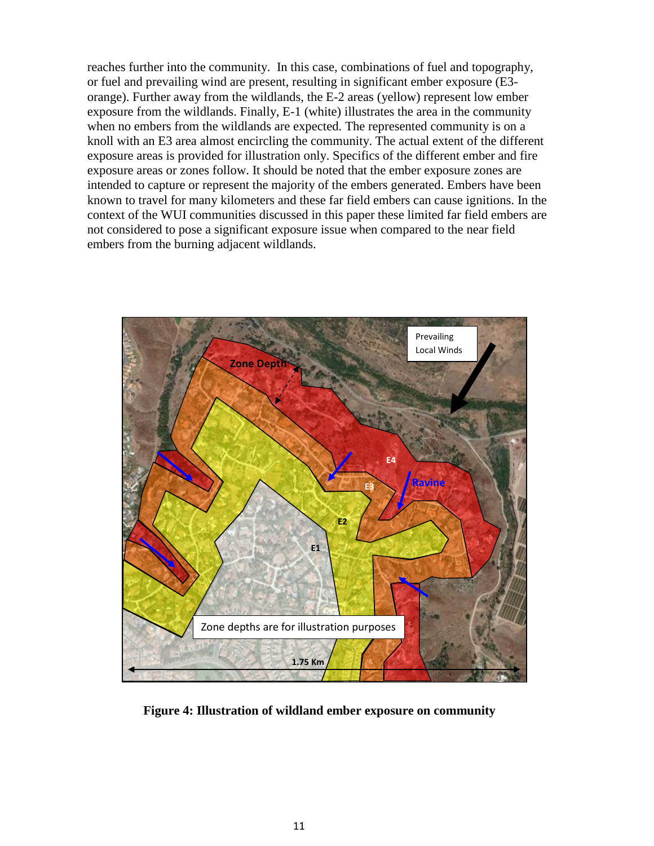reaches further into the community. In this case, combinations of fuel and topography, or fuel and prevailing wind are present, resulting in significant ember exposure (E3 orange). Further away from the wildlands, the E-2 areas (yellow) represent low ember exposure from the wildlands. Finally, E-1 (white) illustrates the area in the community when no embers from the wildlands are expected. The represented community is on a knoll with an E3 area almost encircling the community. The actual extent of the different exposure areas is provided for illustration only. Specifics of the different ember and fire exposure areas or zones follow. It should be noted that the ember exposure zones are intended to capture or represent the majority of the embers generated. Embers have been known to travel for many kilometers and these far field embers can cause ignitions. In the context of the WUI communities discussed in this paper these limited far field embers are not considered to pose a significant exposure issue when compared to the near field embers from the burning adjacent wildlands.



<span id="page-17-0"></span>**Figure 4: Illustration of wildland ember exposure on community**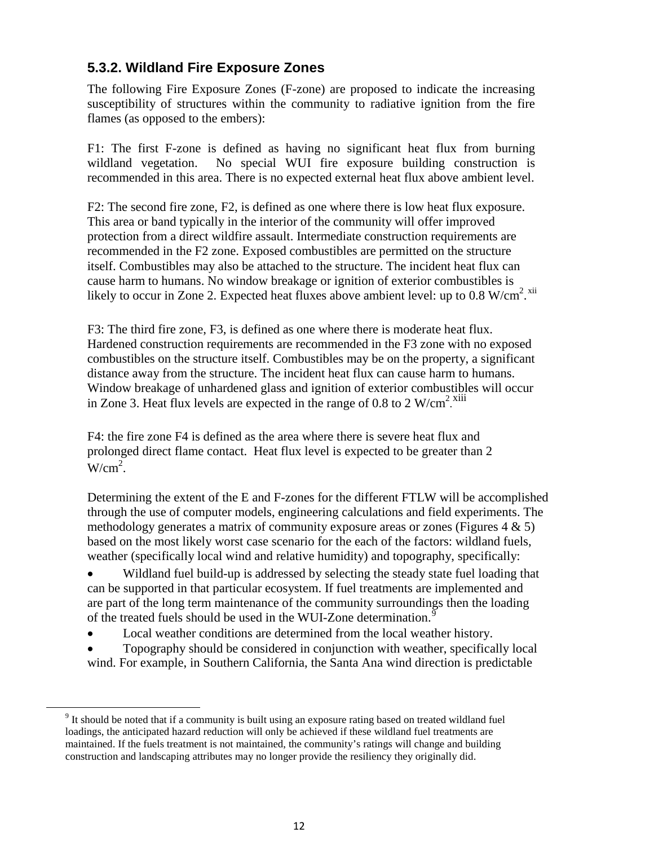#### <span id="page-18-0"></span>**5.3.2. Wildland Fire Exposure Zones**

The following Fire Exposure Zones (F-zone) are proposed to indicate the increasing susceptibility of structures within the community to radiative ignition from the fire flames (as opposed to the embers):

F1: The first F-zone is defined as having no significant heat flux from burning wildland vegetation. No special WUI fire exposure building construction is recommended in this area. There is no expected external heat flux above ambient level.

F2: The second fire zone, F2, is defined as one where there is low heat flux exposure. This area or band typically in the interior of the community will offer improved protection from a direct wildfire assault. Intermediate construction requirements are recommended in the F2 zone. Exposed combustibles are permitted on the structure itself. Combustibles may also be attached to the structure. The incident heat flux can cause harm to humans. No window breakage or ignition of exterior combustibles is likely to occur in Zone 2. Expected heat fluxes above ambient level: up to 0.8 W/cm<sup>2</sup>.<sup>[xii](#page-32-11)</sup>

F3: The third fire zone, F3, is defined as one where there is moderate heat flux. Hardened construction requirements are recommended in the F3 zone with no exposed combustibles on the structure itself. Combustibles may be on the property, a significant distance away from the structure. The incident heat flux can cause harm to humans. Window breakage of unhardened glass and ignition of exterior combustibles will occur in Zone 3. Heat flux levels are expected in the range of 0.8 to 2 W/cm<sup>2</sup>.<sup>[xiii](#page-32-12)</sup>

F4: the fire zone F4 is defined as the area where there is severe heat flux and prolonged direct flame contact. Heat flux level is expected to be greater than 2  $W/cm<sup>2</sup>$ .

Determining the extent of the E and F-zones for the different FTLW will be accomplished through the use of computer models, engineering calculations and field experiments. The methodology generates a matrix of community exposure areas or zones (Figures  $4 \& 5$ ) based on the most likely worst case scenario for the each of the factors: wildland fuels, weather (specifically local wind and relative humidity) and topography, specifically:

• Wildland fuel build-up is addressed by selecting the steady state fuel loading that can be supported in that particular ecosystem. If fuel treatments are implemented and are part of the long term maintenance of the community surroundings then the loading of the treated fuels should be used in the WUI-Zone determination.<sup>[9](#page-18-1)</sup>

- Local weather conditions are determined from the local weather history.
- Topography should be considered in conjunction with weather, specifically local wind. For example, in Southern California, the Santa Ana wind direction is predictable

<span id="page-18-1"></span><sup>&</sup>lt;sup>9</sup> It should be noted that if a community is built using an exposure rating based on treated wildland fuel loadings, the anticipated hazard reduction will only be achieved if these wildland fuel treatments are maintained. If the fuels treatment is not maintained, the community's ratings will change and building construction and landscaping attributes may no longer provide the resiliency they originally did.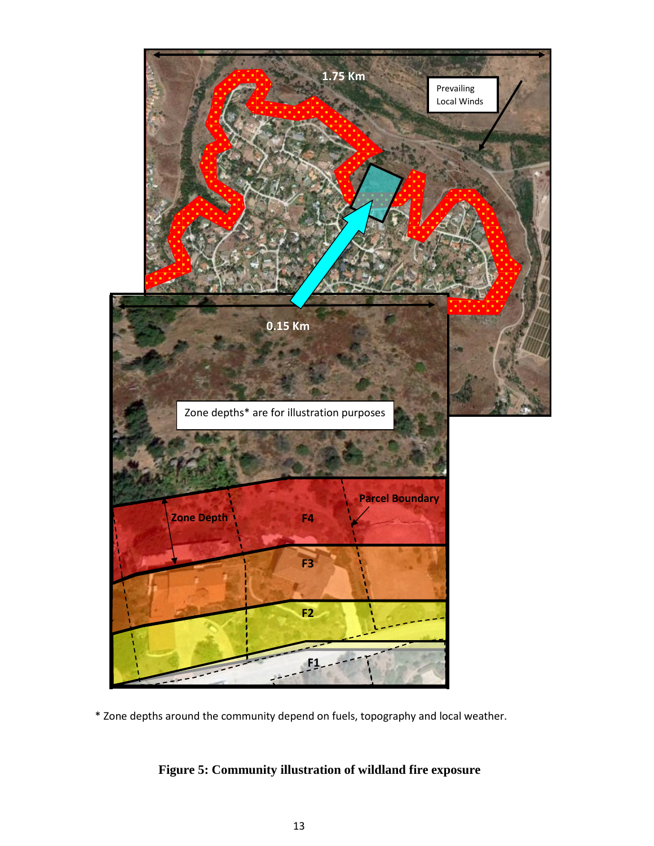

<span id="page-19-0"></span>\* Zone depths around the community depend on fuels, topography and local weather.

#### **Figure 5: Community illustration of wildland fire exposure**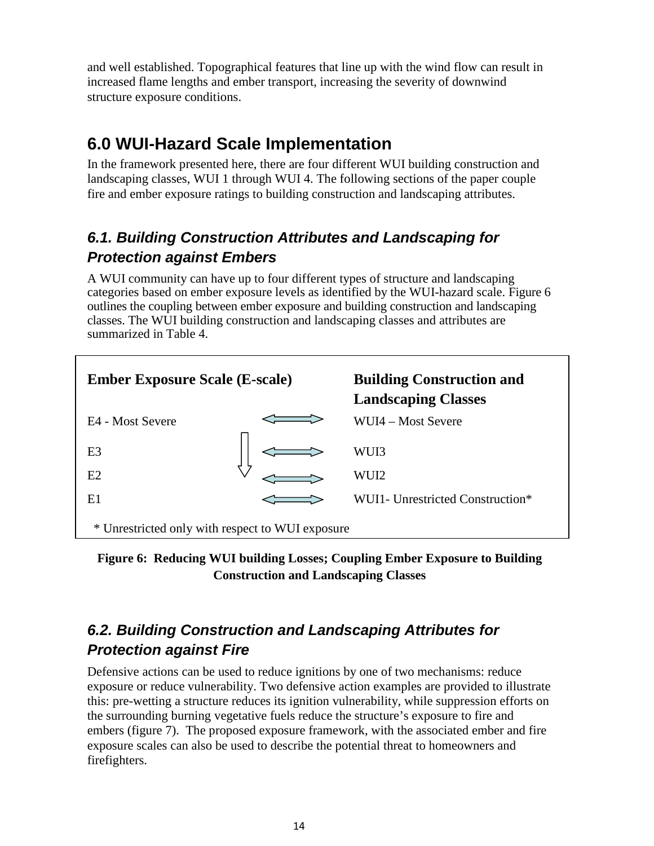and well established. Topographical features that line up with the wind flow can result in increased flame lengths and ember transport, increasing the severity of downwind structure exposure conditions.

# <span id="page-20-0"></span>**6.0 WUI-Hazard Scale Implementation**

In the framework presented here, there are four different WUI building construction and landscaping classes, WUI 1 through WUI 4. The following sections of the paper couple fire and ember exposure ratings to building construction and landscaping attributes.

## <span id="page-20-1"></span>*6.1. Building Construction Attributes and Landscaping for Protection against Embers*

A WUI community can have up to four different types of structure and landscaping categories based on ember exposure levels as identified by the WUI-hazard scale. Figure 6 outlines the coupling between ember exposure and building construction and landscaping classes. The WUI building construction and landscaping classes and attributes are summarized in Table 4.



<span id="page-20-3"></span>**Figure 6: Reducing WUI building Losses; Coupling Ember Exposure to Building Construction and Landscaping Classes**

## <span id="page-20-2"></span>*6.2. Building Construction and Landscaping Attributes for Protection against Fire*

Defensive actions can be used to reduce ignitions by one of two mechanisms: reduce exposure or reduce vulnerability. Two defensive action examples are provided to illustrate this: pre-wetting a structure reduces its ignition vulnerability, while suppression efforts on the surrounding burning vegetative fuels reduce the structure's exposure to fire and embers (figure 7). The proposed exposure framework, with the associated ember and fire exposure scales can also be used to describe the potential threat to homeowners and firefighters.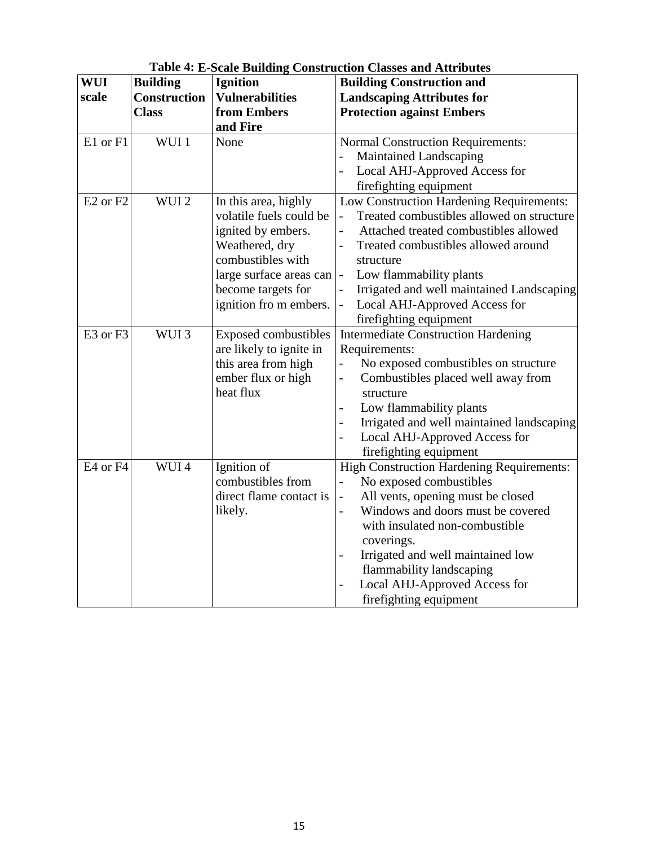<span id="page-21-0"></span>

| Table 4: E-Scale Building Construction Classes and Attributes |                     |                                                                                                                                                                                         |                                                                                                                                                                                                                                                                                                                                                                                 |  |  |  |  |
|---------------------------------------------------------------|---------------------|-----------------------------------------------------------------------------------------------------------------------------------------------------------------------------------------|---------------------------------------------------------------------------------------------------------------------------------------------------------------------------------------------------------------------------------------------------------------------------------------------------------------------------------------------------------------------------------|--|--|--|--|
| WUI                                                           | <b>Building</b>     | <b>Ignition</b>                                                                                                                                                                         | <b>Building Construction and</b>                                                                                                                                                                                                                                                                                                                                                |  |  |  |  |
| scale                                                         | <b>Construction</b> | <b>Vulnerabilities</b>                                                                                                                                                                  | <b>Landscaping Attributes for</b>                                                                                                                                                                                                                                                                                                                                               |  |  |  |  |
|                                                               | <b>Class</b>        | from Embers                                                                                                                                                                             | <b>Protection against Embers</b>                                                                                                                                                                                                                                                                                                                                                |  |  |  |  |
|                                                               |                     | and Fire                                                                                                                                                                                |                                                                                                                                                                                                                                                                                                                                                                                 |  |  |  |  |
| E1 or F1                                                      | WUI 1               | None                                                                                                                                                                                    | <b>Normal Construction Requirements:</b><br>Maintained Landscaping<br>$\overline{a}$<br>Local AHJ-Approved Access for<br>$\overline{a}$                                                                                                                                                                                                                                         |  |  |  |  |
|                                                               |                     |                                                                                                                                                                                         | firefighting equipment                                                                                                                                                                                                                                                                                                                                                          |  |  |  |  |
| $E2$ or $F2$                                                  | WUI <sub>2</sub>    | In this area, highly<br>volatile fuels could be<br>ignited by embers.<br>Weathered, dry<br>combustibles with<br>large surface areas can<br>become targets for<br>ignition fro m embers. | Low Construction Hardening Requirements:<br>Treated combustibles allowed on structure<br>Attached treated combustibles allowed<br>Treated combustibles allowed around<br>structure<br>Low flammability plants<br>$\overline{\phantom{m}}$<br>Irrigated and well maintained Landscaping<br>Local AHJ-Approved Access for<br>firefighting equipment                               |  |  |  |  |
| E3 or F3                                                      | WUI3                | <b>Exposed combustibles</b><br>are likely to ignite in<br>this area from high<br>ember flux or high<br>heat flux                                                                        | <b>Intermediate Construction Hardening</b><br>Requirements:<br>No exposed combustibles on structure<br>Combustibles placed well away from<br>$\overline{a}$<br>structure<br>Low flammability plants<br>$\overline{\phantom{0}}$<br>Irrigated and well maintained landscaping<br>$\overline{a}$<br>Local AHJ-Approved Access for<br>firefighting equipment                       |  |  |  |  |
| E4 or F4                                                      | WUI 4               | Ignition of<br>combustibles from<br>direct flame contact is<br>likely.                                                                                                                  | <b>High Construction Hardening Requirements:</b><br>No exposed combustibles<br>$\overline{a}$<br>All vents, opening must be closed<br>$\overline{\phantom{0}}$<br>Windows and doors must be covered<br>with insulated non-combustible<br>coverings.<br>Irrigated and well maintained low<br>flammability landscaping<br>Local AHJ-Approved Access for<br>firefighting equipment |  |  |  |  |

**Table 4: E-Scale Building Construction Classes and Attributes**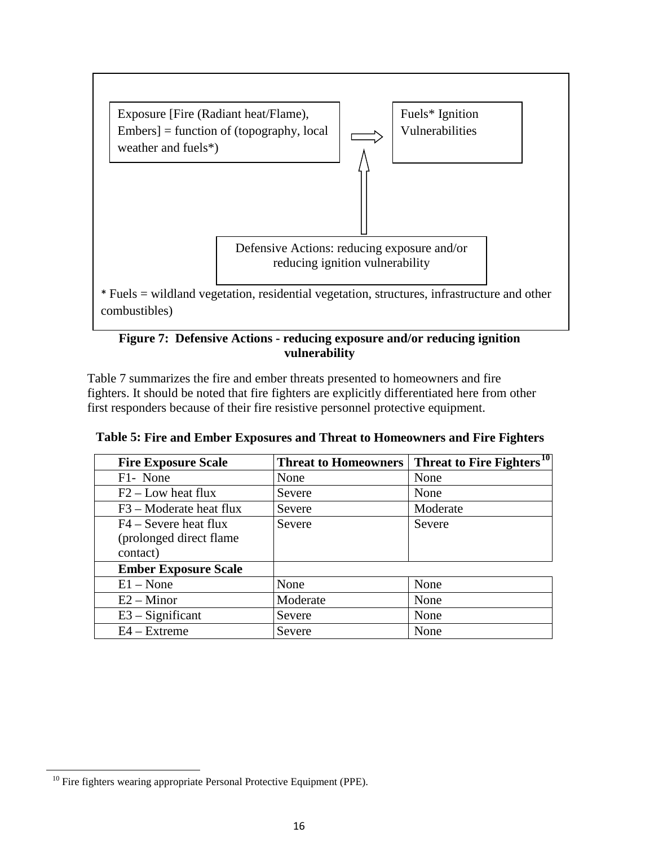

#### **Figure 7: Defensive Actions - reducing exposure and/or reducing ignition vulnerability**

<span id="page-22-1"></span>Table 7 summarizes the fire and ember threats presented to homeowners and fire fighters. It should be noted that fire fighters are explicitly differentiated here from other first responders because of their fire resistive personnel protective equipment.

| <b>Fire Exposure Scale</b>  | <b>Threat to Homeowners</b> | Threat to Fire Fighters <sup>10</sup> |
|-----------------------------|-----------------------------|---------------------------------------|
| F1- None                    | None                        | None                                  |
| $F2$ – Low heat flux        | Severe                      | None                                  |
| $F3$ – Moderate heat flux   | Severe                      | Moderate                              |
| $F4 -$ Severe heat flux     | Severe                      | Severe                                |
| (prolonged direct flame)    |                             |                                       |
| contact)                    |                             |                                       |
| <b>Ember Exposure Scale</b> |                             |                                       |
| $E1 - None$                 | None                        | None                                  |
| $E2 - Minor$                | Moderate                    | None                                  |
| $E3 -$ Significant          | Severe                      | None                                  |
| $E4 - Extreme$              | Severe                      | None                                  |

<span id="page-22-0"></span>**Table 5: Fire and Ember Exposures and Threat to Homeowners and Fire Fighters**

<span id="page-22-2"></span> $10$  Fire fighters wearing appropriate Personal Protective Equipment (PPE).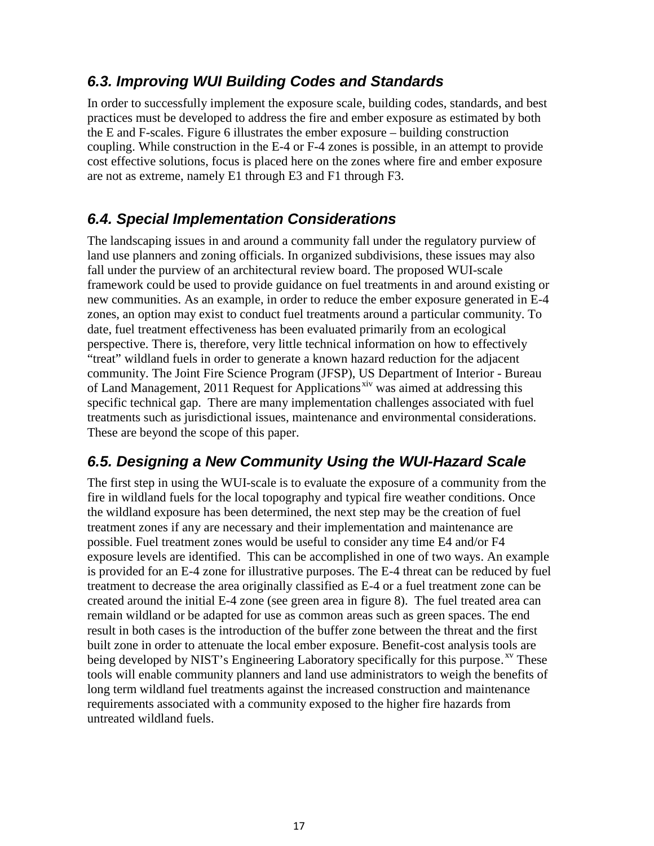#### <span id="page-23-0"></span>*6.3. Improving WUI Building Codes and Standards*

In order to successfully implement the exposure scale, building codes, standards, and best practices must be developed to address the fire and ember exposure as estimated by both the E and F-scales. Figure 6 illustrates the ember exposure – building construction coupling. While construction in the E-4 or F-4 zones is possible, in an attempt to provide cost effective solutions, focus is placed here on the zones where fire and ember exposure are not as extreme, namely E1 through E3 and F1 through F3.

#### <span id="page-23-1"></span>*6.4. Special Implementation Considerations*

The landscaping issues in and around a community fall under the regulatory purview of land use planners and zoning officials. In organized subdivisions, these issues may also fall under the purview of an architectural review board. The proposed WUI-scale framework could be used to provide guidance on fuel treatments in and around existing or new communities. As an example, in order to reduce the ember exposure generated in E-4 zones, an option may exist to conduct fuel treatments around a particular community. To date, fuel treatment effectiveness has been evaluated primarily from an ecological perspective. There is, therefore, very little technical information on how to effectively "treat" wildland fuels in order to generate a known hazard reduction for the adjacent community. The Joint Fire Science Program (JFSP), US Department of Interior - Bureau of Land Management, 2011 Request for Applications<sup>[xiv](#page-32-13)</sup> was aimed at addressing this specific technical gap. There are many implementation challenges associated with fuel treatments such as jurisdictional issues, maintenance and environmental considerations. These are beyond the scope of this paper.

#### <span id="page-23-2"></span>*6.5. Designing a New Community Using the WUI-Hazard Scale*

The first step in using the WUI-scale is to evaluate the exposure of a community from the fire in wildland fuels for the local topography and typical fire weather conditions. Once the wildland exposure has been determined, the next step may be the creation of fuel treatment zones if any are necessary and their implementation and maintenance are possible. Fuel treatment zones would be useful to consider any time E4 and/or F4 exposure levels are identified. This can be accomplished in one of two ways. An example is provided for an E-4 zone for illustrative purposes. The E-4 threat can be reduced by fuel treatment to decrease the area originally classified as E-4 or a fuel treatment zone can be created around the initial E-4 zone (see green area in figure 8). The fuel treated area can remain wildland or be adapted for use as common areas such as green spaces. The end result in both cases is the introduction of the buffer zone between the threat and the first built zone in order to attenuate the local ember exposure. Benefit-cost analysis tools are being developed by NIST's Engineering Laboratory specifically for this purpose.<sup>[xv](#page-32-14)</sup> These tools will enable community planners and land use administrators to weigh the benefits of long term wildland fuel treatments against the increased construction and maintenance requirements associated with a community exposed to the higher fire hazards from untreated wildland fuels.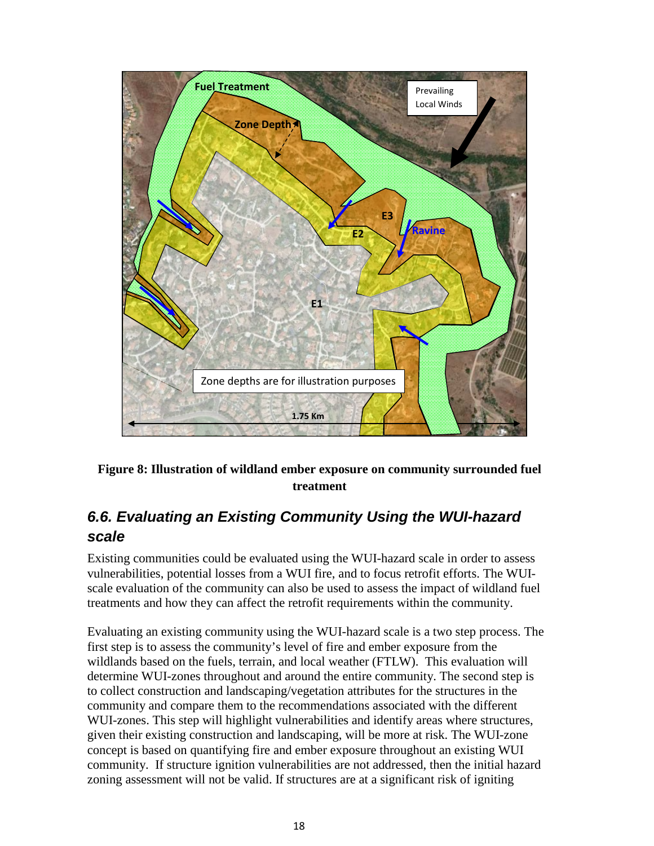

#### <span id="page-24-1"></span>**Figure 8: Illustration of wildland ember exposure on community surrounded fuel treatment**

#### <span id="page-24-0"></span>*6.6. Evaluating an Existing Community Using the WUI-hazard scale*

Existing communities could be evaluated using the WUI-hazard scale in order to assess vulnerabilities, potential losses from a WUI fire, and to focus retrofit efforts. The WUIscale evaluation of the community can also be used to assess the impact of wildland fuel treatments and how they can affect the retrofit requirements within the community.

Evaluating an existing community using the WUI-hazard scale is a two step process. The first step is to assess the community's level of fire and ember exposure from the wildlands based on the fuels, terrain, and local weather (FTLW). This evaluation will determine WUI-zones throughout and around the entire community. The second step is to collect construction and landscaping/vegetation attributes for the structures in the community and compare them to the recommendations associated with the different WUI-zones. This step will highlight vulnerabilities and identify areas where structures, given their existing construction and landscaping, will be more at risk. The WUI-zone concept is based on quantifying fire and ember exposure throughout an existing WUI community. If structure ignition vulnerabilities are not addressed, then the initial hazard zoning assessment will not be valid. If structures are at a significant risk of igniting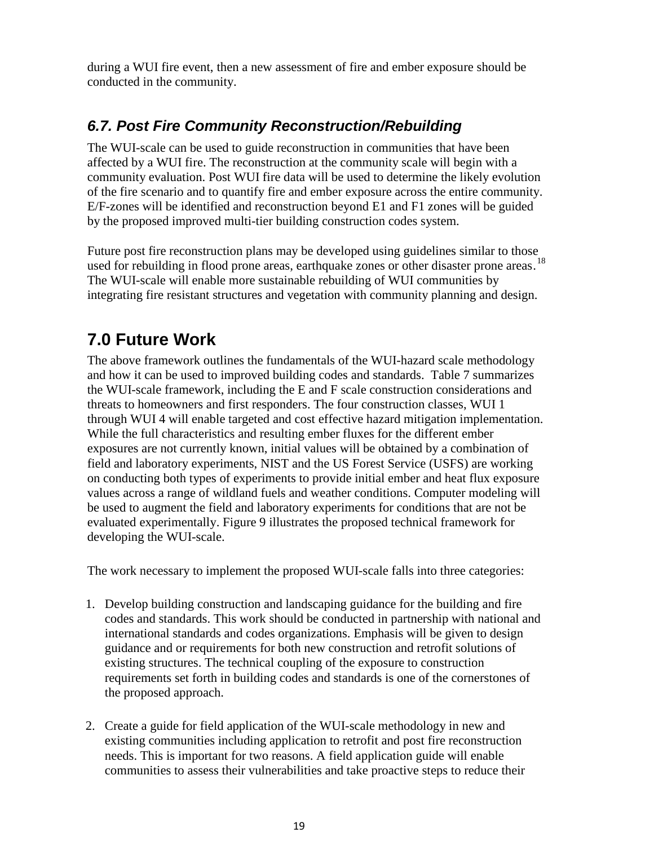during a WUI fire event, then a new assessment of fire and ember exposure should be conducted in the community.

### <span id="page-25-0"></span>*6.7. Post Fire Community Reconstruction/Rebuilding*

The WUI-scale can be used to guide reconstruction in communities that have been affected by a WUI fire. The reconstruction at the community scale will begin with a community evaluation. Post WUI fire data will be used to determine the likely evolution of the fire scenario and to quantify fire and ember exposure across the entire community. E/F-zones will be identified and reconstruction beyond E1 and F1 zones will be guided by the proposed improved multi-tier building construction codes system.

Future post fire reconstruction plans may be developed using guidelines similar to those used for rebuilding in flood prone areas, earthquake zones or other disaster prone areas.<sup>18</sup> The WUI-scale will enable more sustainable rebuilding of WUI communities by integrating fire resistant structures and vegetation with community planning and design.

# <span id="page-25-1"></span>**7.0 Future Work**

The above framework outlines the fundamentals of the WUI-hazard scale methodology and how it can be used to improved building codes and standards. Table 7 summarizes the WUI-scale framework, including the E and F scale construction considerations and threats to homeowners and first responders. The four construction classes, WUI 1 through WUI 4 will enable targeted and cost effective hazard mitigation implementation. While the full characteristics and resulting ember fluxes for the different ember exposures are not currently known, initial values will be obtained by a combination of field and laboratory experiments, NIST and the US Forest Service (USFS) are working on conducting both types of experiments to provide initial ember and heat flux exposure values across a range of wildland fuels and weather conditions. Computer modeling will be used to augment the field and laboratory experiments for conditions that are not be evaluated experimentally. Figure 9 illustrates the proposed technical framework for developing the WUI-scale.

The work necessary to implement the proposed WUI-scale falls into three categories:

- 1. Develop building construction and landscaping guidance for the building and fire codes and standards. This work should be conducted in partnership with national and international standards and codes organizations. Emphasis will be given to design guidance and or requirements for both new construction and retrofit solutions of existing structures. The technical coupling of the exposure to construction requirements set forth in building codes and standards is one of the cornerstones of the proposed approach.
- 2. Create a guide for field application of the WUI-scale methodology in new and existing communities including application to retrofit and post fire reconstruction needs. This is important for two reasons. A field application guide will enable communities to assess their vulnerabilities and take proactive steps to reduce their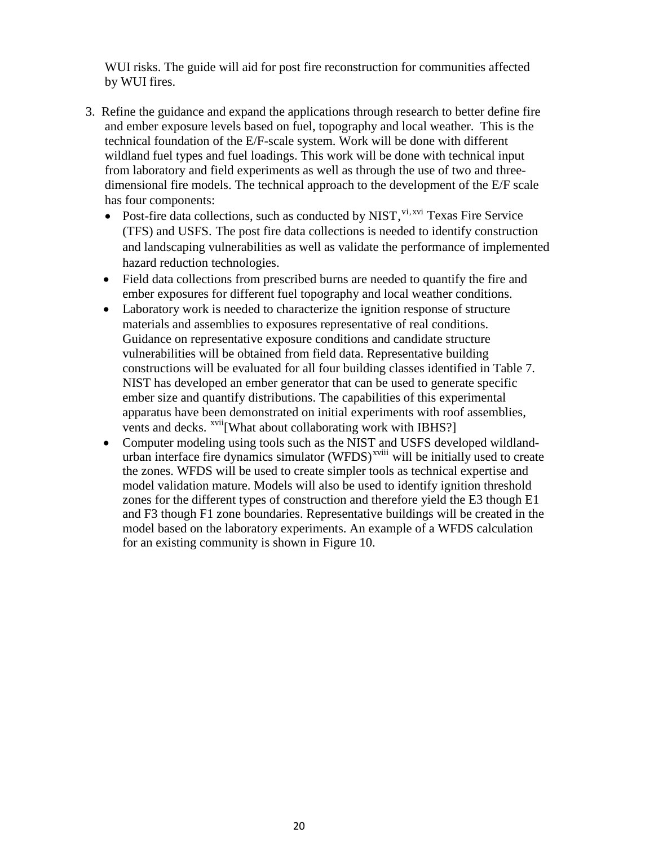WUI risks. The guide will aid for post fire reconstruction for communities affected by WUI fires.

- 3. Refine the guidance and expand the applications through research to better define fire and ember exposure levels based on fuel, topography and local weather. This is the technical foundation of the E/F-scale system. Work will be done with different wildland fuel types and fuel loadings. This work will be done with technical input from laboratory and field experiments as well as through the use of two and threedimensional fire models. The technical approach to the development of the E/F scale has four components:
	- Post-fire data collections, such as conducted by NIST,  $\frac{vi, xvi}{dx}$  $\frac{vi, xvi}{dx}$  $\frac{vi, xvi}{dx}$  $\frac{vi, xvi}{dx}$  $\frac{vi, xvi}{dx}$  Texas Fire Service (TFS) and USFS. The post fire data collections is needed to identify construction and landscaping vulnerabilities as well as validate the performance of implemented hazard reduction technologies.
	- Field data collections from prescribed burns are needed to quantify the fire and ember exposures for different fuel topography and local weather conditions.
	- Laboratory work is needed to characterize the ignition response of structure materials and assemblies to exposures representative of real conditions. Guidance on representative exposure conditions and candidate structure vulnerabilities will be obtained from field data. Representative building constructions will be evaluated for all four building classes identified in Table 7. NIST has developed an ember generator that can be used to generate specific ember size and quantify distributions. The capabilities of this experimental apparatus have been demonstrated on initial experiments with roof assemblies, vents and decks. <sup>[xvii](#page-32-16)</sup>[What about collaborating work with IBHS?]
	- Computer modeling using tools such as the NIST a[nd](#page-32-17) USFS developed wildlandurban interface fire dynamics simulator (WFDS)<sup>xviii</sup> will be initially used to create the zones. WFDS will be used to create simpler tools as technical expertise and model validation mature. Models will also be used to identify ignition threshold zones for the different types of construction and therefore yield the E3 though E1 and F3 though F1 zone boundaries. Representative buildings will be created in the model based on the laboratory experiments. An example of a WFDS calculation for an existing community is shown in Figure 10.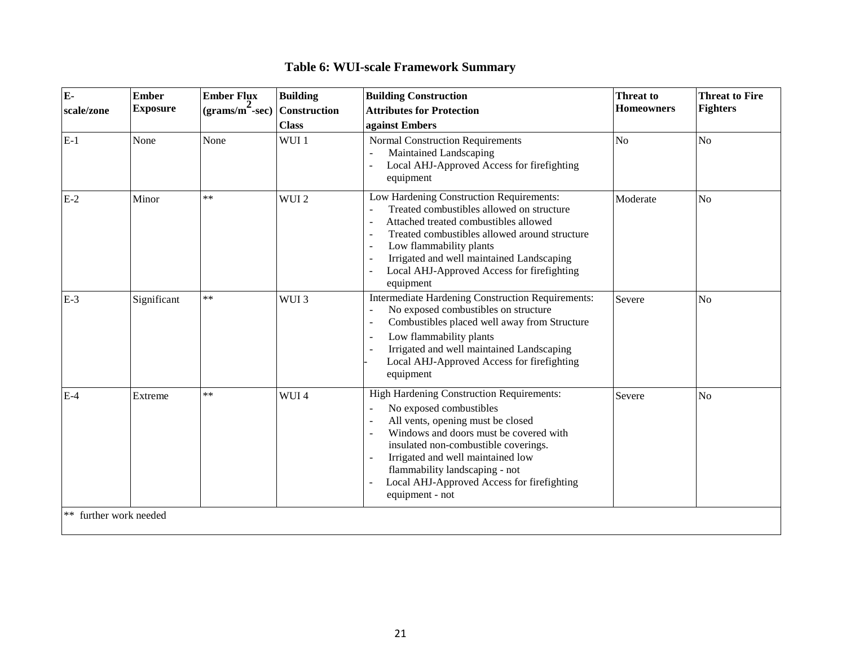<span id="page-27-0"></span>

| E-                     | <b>Ember</b>    | <b>Ember Flux</b>        | <b>Building</b>     | <b>Building Construction</b>                                                                                                                                                                                                                                                                                                               | <b>Threat to</b>  | <b>Threat to Fire</b> |
|------------------------|-----------------|--------------------------|---------------------|--------------------------------------------------------------------------------------------------------------------------------------------------------------------------------------------------------------------------------------------------------------------------------------------------------------------------------------------|-------------------|-----------------------|
| scale/zone             | <b>Exposure</b> | $(grams/m^2\text{-}sec)$ | <b>Construction</b> | <b>Attributes for Protection</b>                                                                                                                                                                                                                                                                                                           | <b>Homeowners</b> | <b>Fighters</b>       |
|                        |                 |                          | <b>Class</b>        | against Embers                                                                                                                                                                                                                                                                                                                             |                   |                       |
| $E-1$                  | None            | None                     | WUI 1               | <b>Normal Construction Requirements</b><br>Maintained Landscaping<br>Local AHJ-Approved Access for firefighting<br>equipment                                                                                                                                                                                                               | N <sub>o</sub>    | N <sub>o</sub>        |
| $E-2$                  | Minor           | **                       | WUI <sub>2</sub>    | Low Hardening Construction Requirements:<br>Treated combustibles allowed on structure<br>Attached treated combustibles allowed<br>Treated combustibles allowed around structure<br>Low flammability plants<br>Irrigated and well maintained Landscaping<br>Local AHJ-Approved Access for firefighting<br>equipment                         | Moderate          | N <sub>o</sub>        |
| $E-3$                  | Significant     | $**$                     | WUI 3               | <b>Intermediate Hardening Construction Requirements:</b><br>No exposed combustibles on structure<br>÷,<br>Combustibles placed well away from Structure<br>$\sim$<br>Low flammability plants<br>$\sim$<br>Irrigated and well maintained Landscaping<br>Local AHJ-Approved Access for firefighting<br>equipment                              | Severe            | N <sub>o</sub>        |
| $E-4$                  | Extreme         | **                       | WUI 4               | <b>High Hardening Construction Requirements:</b><br>No exposed combustibles<br>All vents, opening must be closed<br>Windows and doors must be covered with<br>insulated non-combustible coverings.<br>Irrigated and well maintained low<br>flammability landscaping - not<br>Local AHJ-Approved Access for firefighting<br>equipment - not | Severe            | No                    |
| ** further work needed |                 |                          |                     |                                                                                                                                                                                                                                                                                                                                            |                   |                       |

#### **Table 6: WUI-scale Framework Summary**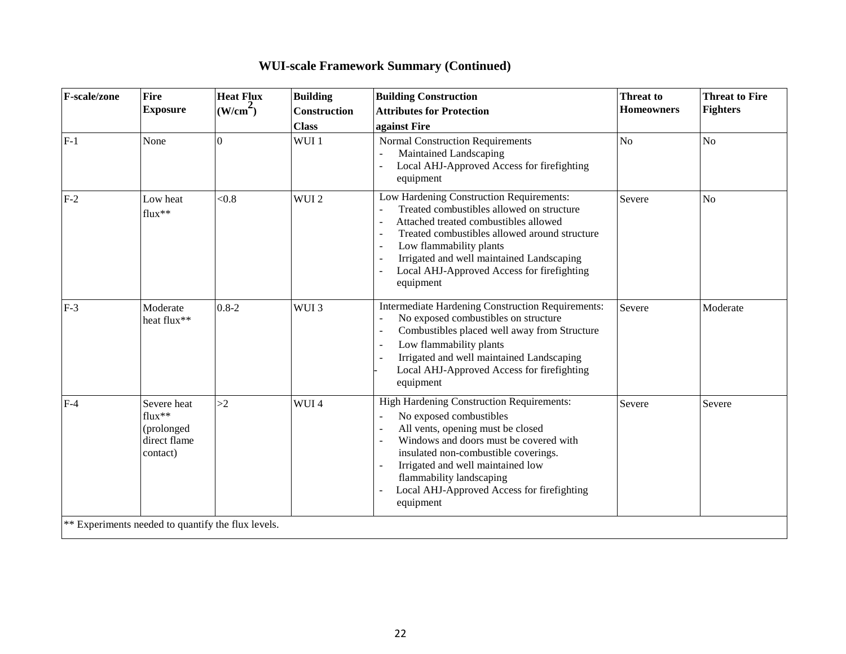| F-scale/zone                                       | <b>Fire</b><br><b>Exposure</b>                                    | <b>Heat Flux</b><br>(W/cm <sup>2</sup> ) | <b>Building</b><br><b>Construction</b> | <b>Building Construction</b><br><b>Attributes for Protection</b>                                                                                                                                                                                                                                                               | <b>Threat to</b><br><b>Homeowners</b> | <b>Threat to Fire</b><br><b>Fighters</b> |  |
|----------------------------------------------------|-------------------------------------------------------------------|------------------------------------------|----------------------------------------|--------------------------------------------------------------------------------------------------------------------------------------------------------------------------------------------------------------------------------------------------------------------------------------------------------------------------------|---------------------------------------|------------------------------------------|--|
|                                                    |                                                                   |                                          | <b>Class</b>                           | against Fire                                                                                                                                                                                                                                                                                                                   |                                       |                                          |  |
| $F-1$                                              | None                                                              | $\Omega$                                 | WUI 1                                  | <b>Normal Construction Requirements</b><br>Maintained Landscaping<br>Local AHJ-Approved Access for firefighting<br>equipment                                                                                                                                                                                                   | N <sub>o</sub>                        | N <sub>o</sub>                           |  |
| $F-2$                                              | Low heat<br>$flux**$                                              | < 0.8                                    | WUI <sub>2</sub>                       | Low Hardening Construction Requirements:<br>Treated combustibles allowed on structure<br>Attached treated combustibles allowed<br>Treated combustibles allowed around structure<br>Low flammability plants<br>Irrigated and well maintained Landscaping<br>Local AHJ-Approved Access for firefighting<br>equipment             | Severe                                | N <sub>o</sub>                           |  |
| $F-3$                                              | Moderate<br>heat flux**                                           | $0.8 - 2$                                | WUI 3                                  | Intermediate Hardening Construction Requirements:<br>No exposed combustibles on structure<br>Combustibles placed well away from Structure<br>Low flammability plants<br>Irrigated and well maintained Landscaping<br>Local AHJ-Approved Access for firefighting<br>equipment                                                   | Severe                                | Moderate                                 |  |
| $F-4$                                              | Severe heat<br>$flux**$<br>(prolonged<br>direct flame<br>contact) | >2                                       | WUI 4                                  | <b>High Hardening Construction Requirements:</b><br>No exposed combustibles<br>All vents, opening must be closed<br>Windows and doors must be covered with<br>insulated non-combustible coverings.<br>Irrigated and well maintained low<br>flammability landscaping<br>Local AHJ-Approved Access for firefighting<br>equipment | Severe                                | Severe                                   |  |
| ** Experiments needed to quantify the flux levels. |                                                                   |                                          |                                        |                                                                                                                                                                                                                                                                                                                                |                                       |                                          |  |

#### **WUI-scale Framework Summary (Continued)**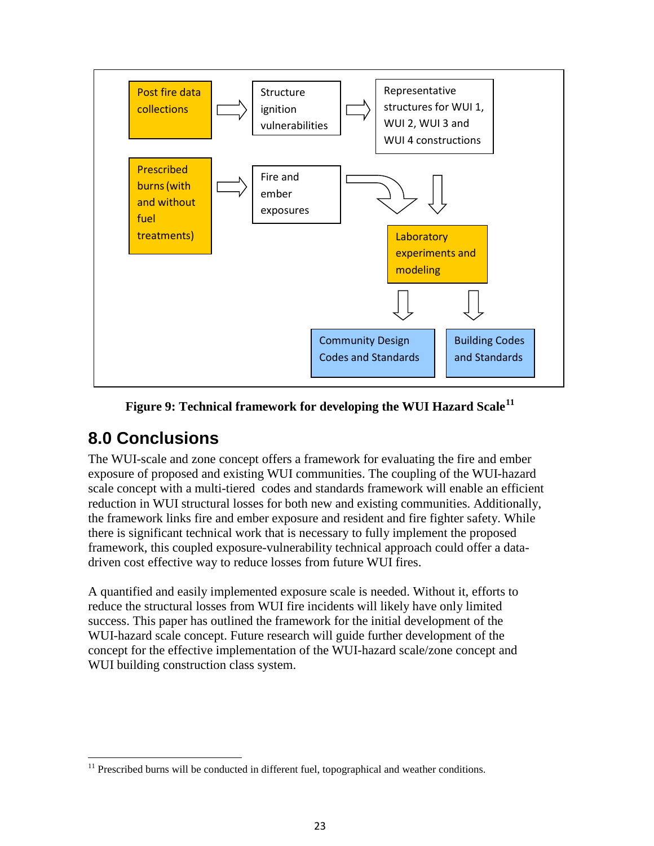

#### **Figure 9: Technical framework for developing the WUI Hazard Scale[11](#page-29-2)**

## <span id="page-29-1"></span><span id="page-29-0"></span>**8.0 Conclusions**

The WUI-scale and zone concept offers a framework for evaluating the fire and ember exposure of proposed and existing WUI communities. The coupling of the WUI-hazard scale concept with a multi-tiered codes and standards framework will enable an efficient reduction in WUI structural losses for both new and existing communities. Additionally, the framework links fire and ember exposure and resident and fire fighter safety. While there is significant technical work that is necessary to fully implement the proposed framework, this coupled exposure-vulnerability technical approach could offer a datadriven cost effective way to reduce losses from future WUI fires.

A quantified and easily implemented exposure scale is needed. Without it, efforts to reduce the structural losses from WUI fire incidents will likely have only limited success. This paper has outlined the framework for the initial development of the WUI-hazard scale concept. Future research will guide further development of the concept for the effective implementation of the WUI-hazard scale/zone concept and WUI building construction class system.

<span id="page-29-2"></span><sup>&</sup>lt;sup>11</sup> Prescribed burns will be conducted in different fuel, topographical and weather conditions.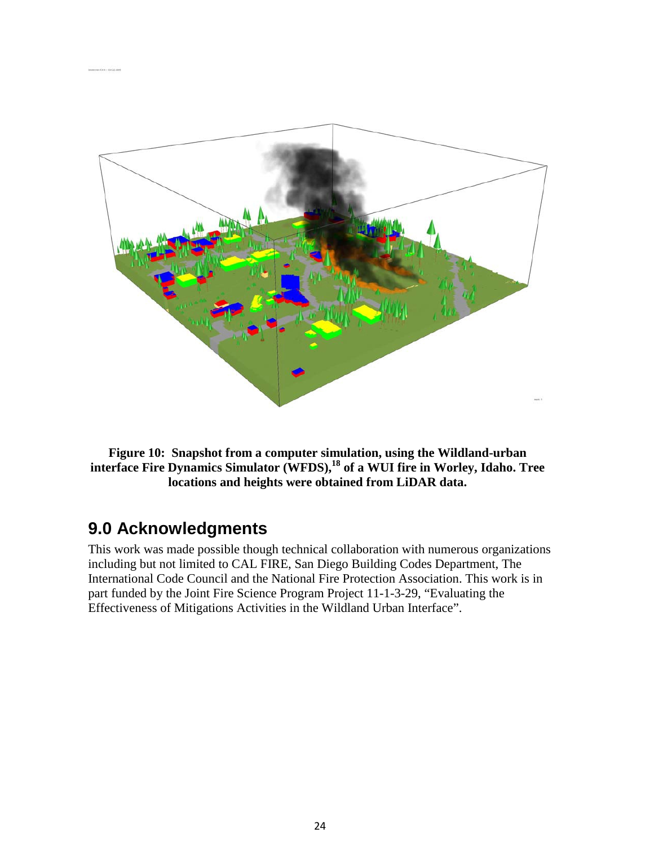

<span id="page-30-1"></span>**Figure 10: Snapshot from a computer simulation, using the Wildland-urban interface Fire Dynamics Simulator (WFDS),18 of a WUI fire in Worley, Idaho. Tree locations and heights were obtained from LiDAR data.**

# <span id="page-30-0"></span>**9.0 Acknowledgments**

This work was made possible though technical collaboration with numerous organizations including but not limited to CAL FIRE, San Diego Building Codes Department, The International Code Council and the National Fire Protection Association. This work is in part funded by the Joint Fire Science Program Project 11-1-3-29, "Evaluating the Effectiveness of Mitigations Activities in the Wildland Urban Interface".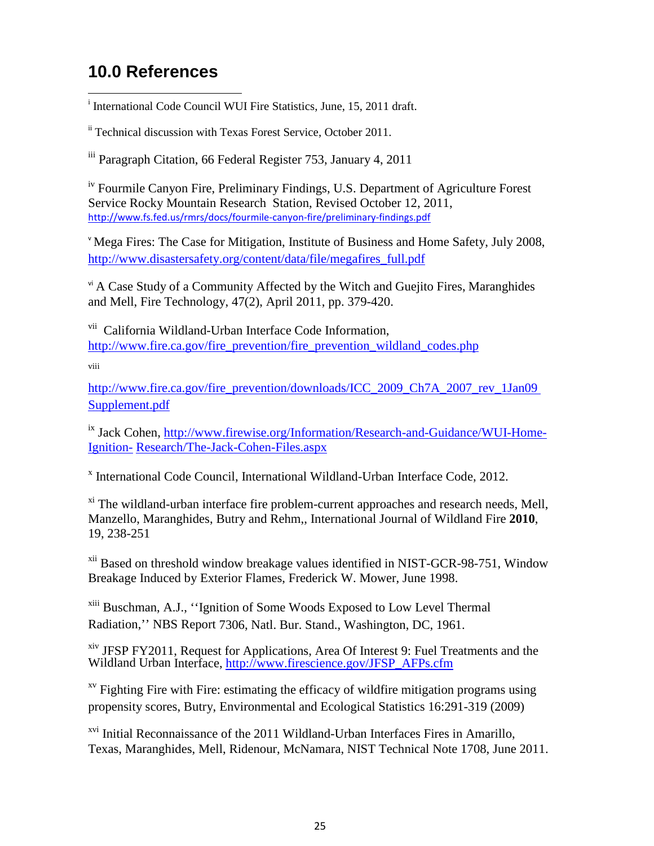# <span id="page-31-0"></span>**10.0 References**

 i <sup>i</sup> International Code Council WUI Fire Statistics, June, 15, 2011 draft.

<sup>ii</sup> Technical discussion with Texas Forest Service, October 2011.

iii Paragraph Citation, 66 Federal Register 753, January 4, 2011

iv Fourmile Canyon Fire, Preliminary Findings, U.S. Department of Agriculture Forest Service Rocky Mountain Research Station, Revised October 12, 2011, <http://www.fs.fed.us/rmrs/docs/fourmile-canyon-fire/preliminary-findings.pdf>

<sup>v</sup> Mega Fires: The Case for Mitigation, Institute of Business and Home Safety, July 2008, [http://www.disastersafety.org/content/data/file/megafires\\_full.pdf](http://www.disastersafety.org/content/data/file/megafires_full.pdf)

vi A Case Study of a Community Affected by the Witch and Guejito Fires, Maranghides and Mell, Fire Technology, 47(2), April 2011, pp. 379-420.

vii California Wildland-Urban Interface Code Information, [http://www.fire.ca.gov/fire\\_prevention/fire\\_prevention\\_wildland\\_codes.php](http://www.fire.ca.gov/fire_prevention/fire_prevention_wildland_codes.php) viii

http://www.fire.ca.gov/fire\_prevention/downloads/ICC\_2009\_Ch7A\_2007\_rev\_1Jan09 [Supplement.pdf](http://www.fire.ca.gov/fire_prevention/downloads/ICC_2009_Ch7A_2007_rev_1Jan09%20Supplement.pdf)

ix Jack Cohen, [http://www.firewise.org/Information/Research-and-Guidance/WUI-Home-](http://www.firewise.org/Information/Research-and-Guidance/WUI-Home-Ignition-Research/The-Jack-Cohen-Files.aspx)[Ignition-](http://www.firewise.org/Information/Research-and-Guidance/WUI-Home-Ignition-Research/The-Jack-Cohen-Files.aspx) [Research/The-Jack-Cohen-Files.aspx](http://www.firewise.org/Information/Research-and-Guidance/WUI-Home-Ignition-Research/The-Jack-Cohen-Files.aspx)

<sup>x</sup> International Code Council, International Wildland-Urban Interface Code, 2012.

<sup>xi</sup> The wildland-urban interface fire problem-current approaches and research needs, Mell, Manzello, Maranghides, Butry and Rehm,, International Journal of Wildland Fire **2010**, 19, 238-251

xii Based on threshold window breakage values identified in NIST-GCR-98-751, Window Breakage Induced by Exterior Flames, Frederick W. Mower, June 1998.

xiii Buschman, A.J., ''Ignition of Some Woods Exposed to Low Level Thermal Radiation,'' NBS Report 7306, Natl. Bur. Stand., Washington, DC, 1961.

xiv JFSP FY2011, Request for Applications, Area Of Interest 9: Fuel Treatments and the Wildland Urban Interface, [http://www.firescience.gov/JFSP\\_AFPs.cfm](http://www.firescience.gov/JFSP_AFPs.cfm)

 $X<sup>XV</sup>$  Fighting Fire with Fire: estimating the efficacy of wildfire mitigation programs using propensity scores, Butry, Environmental and Ecological Statistics 16:291-319 (2009)

xvi Initial Reconnaissance of the 2011 Wildland-Urban Interfaces Fires in Amarillo, Texas, Maranghides, Mell, Ridenour, McNamara, NIST Technical Note 1708, June 2011.